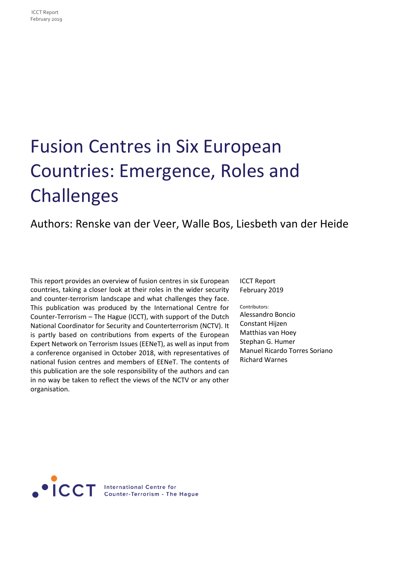# Fusion Centres in Six European Countries: Emergence, Roles and Challenges

## Authors: Renske van der Veer, Walle Bos, Liesbeth van der Heide

This report provides an overview of fusion centres in six European countries, taking a closer look at their roles in the wider security and counter-terrorism landscape and what challenges they face. This publication was produced by the International Centre for Counter-Terrorism – The Hague (ICCT), with support of the Dutch National Coordinator for Security and Counterterrorism (NCTV). It is partly based on contributions from experts of the European Expert Network on Terrorism Issues (EENeT), as well as input from a conference organised in October 2018, with representatives of national fusion centres and members of EENeT. The contents of this publication are the sole responsibility of the authors and can in no way be taken to reflect the views of the NCTV or any other organisation.

ICCT Report February 2019

Contributors: Alessandro Boncio Constant Hijzen Matthias van Hoey Stephan G. Humer Manuel Ricardo Torres Soriano Richard Warnes

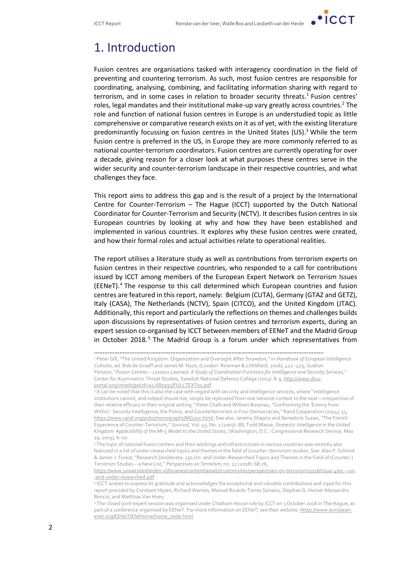

# 1. Introduction

Fusion centres are organisations tasked with interagency coordination in the field of preventing and countering terrorism. As such, most fusion centres are responsible for coordinating, analysing, combining, and facilitating information sharing with regard to terrorism, and in some cases in relation to broader security threats.<sup>1</sup> Fusion centres' roles, legal mandates and their institutional make-up vary greatly across countries.<sup>2</sup> The role and function of national fusion centres in Europe is an understudied topic as little comprehensive or comparative research exists on it as of yet, with the existing literature predominantly focussing on fusion centres in the United States  $(US)^3$  While the term fusion centre is preferred in the US, in Europe they are more commonly referred to as national counter-terrorism coordinators. Fusion centres are currently operating for over a decade, giving reason for a closer look at what purposes these centres serve in the wider security and counter-terrorism landscape in their respective countries, and what challenges they face.

This report aims to address this gap and is the result of a project by the International Centre for Counter-Terrorism – The Hague (ICCT) supported by the Dutch National Coordinator for Counter-Terrorism and Security (NCTV). It describes fusion centres in six European countries by looking at why and how they have been established and implemented in various countries. It explores why these fusion centres were created, and how their formal roles and actual activities relate to operational realities.

The report utilises a literature study as well as contributions from terrorism experts on fusion centres in their respective countries, who responded to a call for contributions issued by ICCT among members of the European Expert Network on Terrorism Issues (EENeT).<sup>4</sup> The response to this call determined which European countries and fusion centres are featured in this report, namely: Belgium (CUTA), Germany (GTAZ and GETZ), Italy (CASA), The Netherlands (NCTV), Spain (CITCO), and the United Kingdom (JTAC). Additionally, this report and particularly the reflections on themes and challenges builds upon discussions by representatives of fusion centres and terrorism experts, during an expert session co-organised by ICCT between members of EENeT and the Madrid Group in October 2018.<sup>5</sup> The Madrid Group is a forum under which representatives from

<sup>………………………………………………………………………………………………………………………</sup> <sup>1</sup> Peter Gill, "The United Kingdom: Organization and Oversight After Snowdon," in *Handbook of European Intelligence Cultures,* ed. Bob de Graaff and James M. Nyce, (London: Rowman & Littlefield, 2016), 422 -423; Gudrun Persson, "*Fusion Centres – Lessons Learned: A Study of Coordination Functions for Intelligence and Security Services*," Center for Asymmetric Threat Studies, Swedish National Defence College (2013): 8-9[, http://www.diva](http://www.diva-portal.org/smash/get/diva2:685935/FULLTEXT01.pdf)[portal.org/smash/get/diva2:685935/FULLTEXT01.pdf.](http://www.diva-portal.org/smash/get/diva2:685935/FULLTEXT01.pdf)

<sup>&</sup>lt;sup>2</sup> It can be noted that this is also the case with regard with security and intelligence services, where "intelligence institutions cannot, and indeed should not, simply be replicated from one national context to the next—irrespective of their relative efficacy in their original setting." Peter Chalk and William Rosenau, "Confronting the 'Enemy from Within': Security Intelligence, the Police, and Counterterrorism in Four Democracies," Rand Cooperation (2014), 55, <https://www.rand.org/pubs/monographs/MG100.html>; See also: Jeremy Shapiro and Benedicte Suzan, "The French Experience of Counter-Terrorism," *Survival*, Vol. 45, No. 1 (2003): 88; Todd Masse, *Domestic Intelligence in the United Kingdom: Applicability of the MI-5 Model to the United States*, (Washington, D.C.: Congressional Research Service, May 19, 2003), 6–10.

<sup>&</sup>lt;sup>3</sup> The topic of national fusion centers and their workings and infrastructures in various countries was recently also featured in a list of under-researched topics and themes in the field of (counter-)terrorism studies. See: Alex P. Schmid & James J. Forest, "Research Desiderata: 150 Un- and Under-Researched Topics and Themes in the Field of (Counter-) Terrorism Studies – a New List," *Perspectives on Terrorism*, no. 12 (2018): 68-76,

[https://www.universiteitleiden.nl/binaries/content/assets/customsites/perspectives-on-terrorism/2018/issue-4/05---un-](https://www.universiteitleiden.nl/binaries/content/assets/customsites/perspectives-on-terrorism/2018/issue-4/05---un--and-under-researched.pdf) [-and-under-researched.pdf.](https://www.universiteitleiden.nl/binaries/content/assets/customsites/perspectives-on-terrorism/2018/issue-4/05---un--and-under-researched.pdf) 

<sup>4</sup> ICCT wishes to express its gratitude and acknowledges the exceptional and valuable contributions and input for this report provided by Constant Hijzen, Richard Warnes, Manuel Ricardo Torres Soriano, Stephan G. Humer Alessandro Boncio, and Matthias Van Hoey.

<sup>5</sup> The closed joint expert session was organised under Chatham House rule by ICCT on 3 October 2018 in The Hague, as part of a conference organised by EENeT. For more information on EENeT, see their website[: https://www.european](https://www.european-enet.org/EENeT/EN/Home/home_node.html)[enet.org/EENeT/EN/Home/home\\_node.html.](https://www.european-enet.org/EENeT/EN/Home/home_node.html)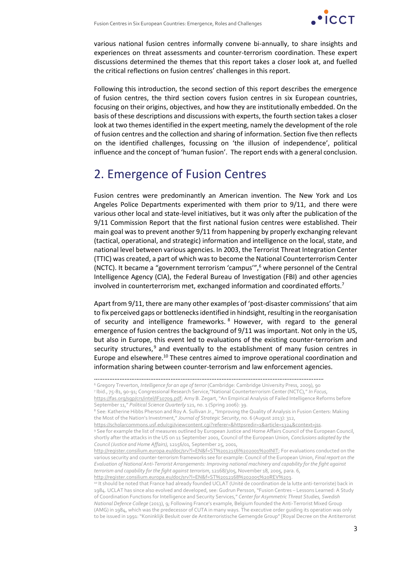

various national fusion centres informally convene bi-annually, to share insights and experiences on threat assessments and counter-terrorism coordination. These expert discussions determined the themes that this report takes a closer look at, and fuelled the critical reflections on fusion centres' challenges in this report.

Following this introduction, the second section of this report describes the emergence of fusion centres, the third section covers fusion centres in six European countries, focusing on their origins, objectives, and how they are institutionally embedded. On the basis of these descriptions and discussions with experts, the fourth section takes a closer look at two themes identified in the expert meeting, namely the development of the role of fusion centres and the collection and sharing of information. Section five then reflects on the identified challenges, focussing on 'the illusion of independence', political influence and the concept of 'human fusion'. The report ends with a general conclusion.

# 2. Emergence of Fusion Centres

Fusion centres were predominantly an American invention. The New York and Los Angeles Police Departments experimented with them prior to 9/11, and there were various other local and state-level initiatives, but it was only after the publication of the 9/11 Commission Report that the first national fusion centres were established. Their main goal was to prevent another 9/11 from happening by properly exchanging relevant (tactical, operational, and strategic) information and intelligence on the local, state, and national level between various agencies. In 2003, the Terrorist Threat Integration Center (TTIC) was created, a part of which was to become the National Counterterrorism Center (NCTC). It became a "government terrorism 'campus'",<sup>6</sup> where personnel of the Central Intelligence Agency (CIA), the Federal Bureau of Investigation (FBI) and other agencies involved in counterterrorism met, exchanged information and coordinated efforts.<sup>7</sup>

Apart from 9/11, there are many other examples of 'post-disaster commissions' that aim to fix perceived gaps or bottlenecks identified in hindsight, resulting in the reorganisation of security and intelligence frameworks. <sup>8</sup> However, with regard to the general emergence of fusion centres the background of 9/11 was important. Not only in the US, but also in Europe, this event led to evaluations of the existing counter-terrorism and security structures, $9$  and eventually to the establishment of many fusion centres in Europe and elsewhere.<sup>10</sup> These centres aimed to improve operational coordination and information sharing between counter-terrorism and law enforcement agencies.

<sup>6</sup> Gregory Treverton, *Intelligence for an age of terror* (Cambridge: Cambridge University Press, 2009), 90

7 Ibid., 75-81, 90-91; Congressional Research Service,"National Counterterrorism Center (NCTC)," *In Focus*,

<https://fas.org/sgp/crs/intel/IF10709.pdf>; Amy B. Zegart, "An Empirical Analysis of Failed Intelligence Reforms before September 11," *Political Science Quarterly* 121, no. 1 (Spring 2006): 39.

<sup>8</sup> See: Katherine Hibbs Pherson and Roy A. Sullivan Jr., "Improving the Quality of Analysis in Fusion Centers: Making the Most of the Nation's Investment," *Journal of Strategic Security*, no. 6 (August 2013): 312,

[https://scholarcommons.usf.edu/cgi/viewcontent.cgi?referer=&httpsredir=1&article=1324&context=jss.](https://scholarcommons.usf.edu/cgi/viewcontent.cgi?referer=&httpsredir=1&article=1324&context=jss)

<sup>9</sup> See for example the list of measures outlined by European Justice and Home Affairs Council of the European Council, shortly after the attacks in the US on 11 September 2001, Council of the European Union, *Conclusions adopted by the Council (Justice and Home Affairs),* 12156/01, September 25, 2001,

[http://register.consilium.europa.eu/doc/srv?l=EN&f=ST%2012156%202001%20INIT;](http://register.consilium.europa.eu/doc/srv?l=EN&f=ST%2012156%202001%20INIT) For evaluations conducted on the various security and counter-terrorism frameworks see for example: Council of the European Union, *Final report on the Evaluation of National Anti-Terrorist Arrangements: Improving national machinery and capability for the fight against terrorism and capability for the fight against terrorism*, 12168/3/05, November 18, 2005, para. 6, [http://register.consilium.europa.eu/doc/srv?l=EN&f=ST%2012168%202005%20REV%203.](http://register.consilium.europa.eu/doc/srv?l=EN&f=ST%2012168%202005%20REV%203)

<sup>10</sup> It should be noted that France had already founded UCLAT (Unité de coordination de la lutte anti-terroriste) back in 1984. UCLAT has since also evolved and developed, see: Gudrun Persson, "Fusion Centres – Lessons Learned: A Study of Coordination Functions for Intelligence and Security Services," *Center for Asymmetric Threat Studies, Swedish National Defence College* (2013), 9; Following France's example, Belgium founded the Anti-Terrorist Mixed Group (AMG) in 1984, which was the predecessor of CUTA in many ways. The executive order guiding its operation was only to be issued in 1991: "Koninklijk Besluit over de Antiterroristische Gemengde Group" [Royal Decree on the Antiterrorist

<sup>………………………………………………………………………………………………………………………</sup>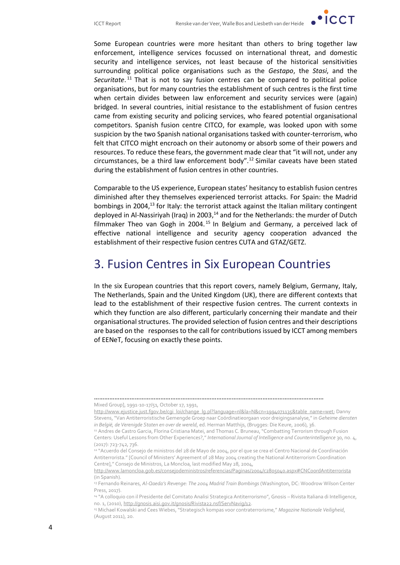

Some European countries were more hesitant than others to bring together law enforcement, intelligence services focussed on international threat, and domestic security and intelligence services, not least because of the historical sensitivities surrounding political police organisations such as the *Gestapo*, the *Stasi*, and the Securitate.<sup>11</sup> That is not to say fusion centres can be compared to political police organisations, but for many countries the establishment of such centres is the first time when certain divides between law enforcement and security services were (again) bridged. In several countries, initial resistance to the establishment of fusion centres came from existing security and policing services, who feared potential organisational competitors. Spanish fusion centre CITCO, for example, was looked upon with some suspicion by the two Spanish national organisations tasked with counter-terrorism, who felt that CITCO might encroach on their autonomy or absorb some of their powers and resources. To reduce these fears, the government made clear that "it will not, under any circumstances, be a third law enforcement body".<sup>12</sup> Similar caveats have been stated during the establishment of fusion centres in other countries.

Comparable to the US experience, European states' hesitancy to establish fusion centres diminished after they themselves experienced terrorist attacks. For Spain: the Madrid bombings in 2004,<sup>13</sup> for Italy: the terrorist attack against the Italian military contingent deployed in Al-Nassiriyah (Iraq) in 2003, $^{14}$  and for the Netherlands: the murder of Dutch filmmaker Theo van Gogh in 2004.<sup>15</sup> In Belgium and Germany, a perceived lack of effective national intelligence and security agency cooperation advanced the establishment of their respective fusion centres CUTA and GTAZ/GETZ.

# 3. Fusion Centres in Six European Countries

In the six European countries that this report covers, namely Belgium, Germany, Italy, The Netherlands, Spain and the United Kingdom (UK), there are different contexts that lead to the establishment of their respective fusion centres. The current contexts in which they function are also different, particularly concerning their mandate and their organisational structures. The provided selection of fusion centres and their descriptions are based on the responses to the call for contributions issued by ICCT among members of EENeT, focusing on exactly these points.

<sup>………………………………………………………………………………………………………………………</sup> Mixed Group], 1991-10-17/51, October 17, 1991,

[http://www.ejustice.just.fgov.be/cgi\\_loi/change\\_lg.pl?language=nl&la=N&cn=1994071135&table\\_name=wet;](http://www.ejustice.just.fgov.be/cgi_loi/change_lg.pl?language=nl&la=N&cn=1994071135&table_name=wet) Danny Stevens, "Van Antiterroristische Gemengde Groep naar Coördinatieorgaan voor dreigingsanalyse," in *Geheime diensten in België, de Verenigde Staten en over de wereld*, ed. Herman Matthijs, (Brugges: Die Keure, 2006), 36.

<sup>11</sup> Andres de Castro Garcia, Florina Cristiana Matei, and Thomas C. Bruneau, "Combatting Terrorism through Fusion Centers: Useful Lessons from Other Experiences?," *International Journal of Intelligence and Counterintelligence* 30, no. 4, (2017): 723-742, 736.

<sup>12 &</sup>quot;Acuerdo del Consejo de ministros del 28 de Mayo de 2004, por el que se crea el Centro Nacional de Coordinación Antiterrorista." [Council of Ministers' Agreement of 28 May 2004 creating the National Antiterrorism Coordination Centre]," Consejo de Ministros, La Moncloa, last modified May 28, 2004,

<http://www.lamoncloa.gob.es/consejodeministros/referencias/Paginas/2004/c2805040.aspx#CNCoordAntiterrorista> (in Spanish).

<sup>13</sup> Fernando Reinares, *Al-Qaeda's Revenge: The 2004 Madrid Train Bombings* (Washington, DC: Woodrow Wilson Center Press, 2017).

<sup>14 &</sup>quot;A colloquio con il Presidente del Comitato Analisi Strategica Antiterrorismo", Gnosis – Rivista Italiana di Intelligence, no. 1, (2010), [http://gnosis.aisi.gov.it/gnosis/Rivista22.nsf/ServNavig/12.](http://gnosis.aisi.gov.it/gnosis/Rivista22.nsf/ServNavig/12)

<sup>15</sup> Michael Kowalski and Cees Wiebes, "Strategisch kompas voor contraterrorisme," *Magazine Nationale Veiligheid*, (August 2011), 20.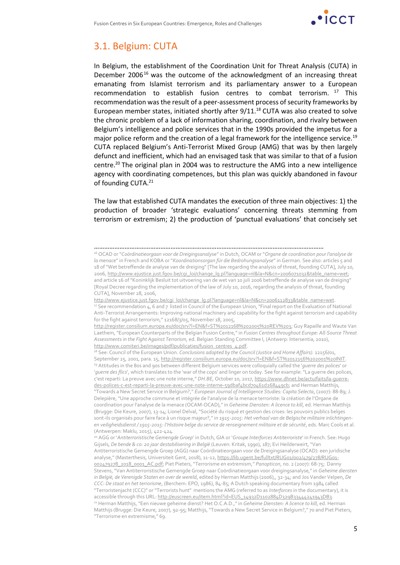

### 3.1. Belgium: CUTA

In Belgium, the establishment of the Coordination Unit for Threat Analysis (CUTA) in December 2006 $^{16}$  was the outcome of the acknowledgment of an increasing threat emanating from Islamist terrorism and its parliamentary answer to a European recommendation to establish fusion centres to combat terrorism. <sup>17</sup> This recommendation was the result of a peer-assessment process of security frameworks by European member states, initiated shortly after  $9/11$ .<sup>18</sup> CUTA was also created to solve the chronic problem of a lack of information sharing, coordination, and rivalry between Belgium's intelligence and police services that in the 1990s provided the impetus for a major police reform and the creation of a legal framework for the intelligence service.<sup>19</sup> CUTA replaced Belgium's Anti-Terrorist Mixed Group (AMG) that was by then largely defunct and inefficient, which had an envisaged task that was similar to that of a fusion centre.<sup>20</sup> The original plan in 2004 was to restructure the AMG into a new intelligence agency with coordinating competences, but this plan was quickly abandoned in favour of founding CUTA.<sup>21</sup>

The law that established CUTA mandates the execution of three main objectives: 1) the production of broader 'strategic evaluations' concerning threats stemming from terrorism or extremism; 2) the production of 'punctual evaluations' that concisely set

<sup>18</sup> See: Council of the European Union. *Conclusions adopted by the Council (Justice and Home Affairs)*. 12156/01, September 25, 2001, para. 15, [http://register.consilium.europa.eu/doc/srv?l=EN&f=ST%2012156%202001%20INIT.](http://register.consilium.europa.eu/doc/srv?l=EN&f=ST%2012156%202001%20INIT) <sup>19</sup> Attitudes in the 80s and 90s between different Belgium services were colloquially called the '*guerre des polices*' or '*guerre des flics*', which translates to the 'war of the cops' and linger on today. See for example: "La guerre des polices, c'est reparti: La preuve avec une note interne," *DH.BE*, October 10, 2017, [https://www.dhnet.be/actu/faits/la-guerre](https://www.dhnet.be/actu/faits/la-guerre-des-polices-c-est-reparti-la-preuve-avec-une-note-interne-59dbaf4bcd70461d268449cb)[des-polices-c-est-reparti-la-preuve-avec-une-note-interne-59dbaf4bcd70461d268449cb;](https://www.dhnet.be/actu/faits/la-guerre-des-polices-c-est-reparti-la-preuve-avec-une-note-interne-59dbaf4bcd70461d268449cb) and Herman Matthijs, "Towards a New Secret Service in Belgium?," *European Journal of Intelligence Studies: Capita Selecta*, (2007): 88-89; J. Delepière, "Une approche commune et intégrée de l'analyse de la menace terroriste: la création de l'Organe de coordination pour l'analyse de la menace (OCAM-OCAD)," in *Geheime Diensten: A licence to kill*, ed. Herman Matthijs (Brugge: Die Keure, 2007), 13-14; Lionel Delval, "Société du risqué et gestion des crises: les pouvoirs publics belges sont-ils organisés pour faire face à un risque majeur?," in *1915-2015: Het verhaal van de Belgische militaire inlichtingenen veiligheidsdienst / 1915-2015: l'Histoire belge du service de renseignement militaire et de sécurité*, eds. Marc Cools et al. (Antwerpen: Maklu, 2015), 422-424.

<sup>20</sup> AGG or '*Antiterroristische Gemengde Groep*' in Dutch, GIA or '*Groupe Interforces Antiterroriste*' in French. See: Hugo Gijsels, *De bende & co: 20 jaar destabilisering in België* (Leuven: Kritak, 1990), 187; Evi Heilderweirt, "Van Antiterroristische Gemengde Groep (AGG) naar Coördinatieorgaan voor de Dreigingsanalyse (OCAD): een juridische analyse," (Masterthesis, Universiteit Gent, 2018), 11-12, [https://lib.ugent.be/fulltxt/RUG01/002/479/278/RUG01-](https://lib.ugent.be/fulltxt/RUG01/002/479/278/RUG01-002479278_2018_0001_AC.pdf) [002479278\\_2018\\_0001\\_AC.pdf](https://lib.ugent.be/fulltxt/RUG01/002/479/278/RUG01-002479278_2018_0001_AC.pdf); Piet Pieters, "Terrorisme en extremism," *Panopticon*, no. 2 (2007): 68-75; Danny Stevens, "Van Antiterroristische Gemengde Groep naar Coördinatieorgaan voor dreigingsanalyse," in *Geheime diensten in België, de Verenigde Staten en over de wereld*, edited by Herman Matthijs (2006),, 32-34; and Jos Vander Velpen, *De CCC: De staat en het terrorisme*, (Berchem: EPO, 1986), 84-85; A Dutch speaking documentary from 1984 called "Terroristenjacht (CCC)" or "Terrorists hunt" mentions the AMG (referred to as *Interforces* in the documentary), it is accessible through this URL: [http://euscreen.eu/item.html?id=EUS\\_14932D1102884D329B33444241943DB3.](http://euscreen.eu/item.html?id=EUS_14932D1102884D329B33444241943DB3) <sup>21</sup> Herman Matthijs, "Een nieuwe geheime dienst? Het O.C.A.D.," in *Geheime Diensten: A licence to kill*, ed. Herman Matthijs (Brugge: Die Keure, 2007), 92-95; Matthijs, "Towards a New Secret Service in Belgium?," 70 and Piet Pieters, "Terrorisme en extremisme," 69.

<sup>………………………………………………………………………………………………………………………</sup>

<sup>16</sup> OCAD or "*Coördinatieorgaan voor de Dreigingsanaly*se" in Dutch, OCAM or "*Organe de coordination pour l'analyse de la menace*" in French and KOBA or "*Koordinationsorgan für die Bedrohungsanalyse*" in German. See also: articles 5 and 18 of "Wet betreffende de analyse van de dreiging" [The law regarding the analysis of threat, founding CUTA], July 10, 2006[, http://www.ejustice.just.fgov.be/cgi\\_loi/change\\_lg.pl?language=nl&la=N&cn=2006071032&table\\_name=wet;](http://www.ejustice.just.fgov.be/cgi_loi/change_lg.pl?language=nl&la=N&cn=2006071032&table_name=wet) and article 16 of "Koninklijk Besluit tot uitvoering van de wet van 10 juli 2006 betreffende de analyse van de dreiging" [Royal Decree regarding the implementation of the law of July 10, 2016, regarding the analysis of threat, founding CUTA], November 28, 2006,

[http://www.ejustice.just.fgov.be/cgi\\_loi/change\\_lg.pl?language=nl&la=N&cn=2006112833&table\\_name=wet.](http://www.ejustice.just.fgov.be/cgi_loi/change_lg.pl?language=nl&la=N&cn=2006112833&table_name=wet) <sup>17</sup> See recommendation 4, 6 and 7 listed in Council of the European Union, "Final report on the Evaluation of National Anti-Terrorist Arrangements: Improving national machinery and capability for the fight against terrorism and capability for the fight against terrorism," 12168/3/05, November 18, 2005,

[http://register.consilium.europa.eu/doc/srv?l=EN&f=ST%2012168%202005%20REV%203;](http://register.consilium.europa.eu/doc/srv?l=EN&f=ST%2012168%202005%20REV%203) Guy Rapaille and Waute Van Laethem, "European Counterparts of the Belgian Fusion Centre," in *Fusion Centres throughout Europe: All-Source Threat Assessments in the Fight Against Terrorism,* ed. Belgian Standing Committee I, (Antwerp: Intersentia, 2010), [http://www.comiteri.be/images/pdf/publicaties/fusion\\_centres\\_4.pdf.](http://www.comiteri.be/images/pdf/publicaties/fusion_centres_4.pdf)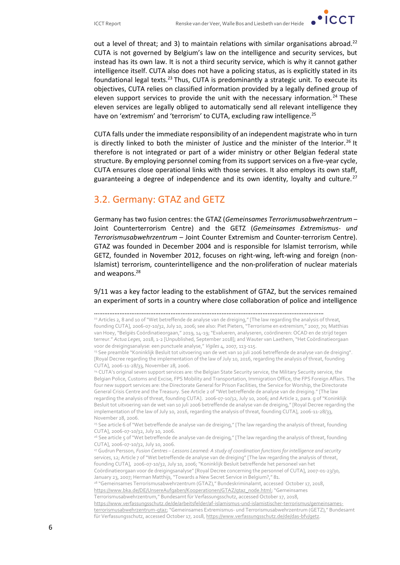$\cdot$  ICCT

out a level of threat; and 3) to maintain relations with similar organisations abroad.<sup>22</sup> CUTA is not governed by Belgium's law on the intelligence and security services, but instead has its own law. It is not a third security service, which is why it cannot gather intelligence itself. CUTA also does not have a policing status, as is explicitly stated in its foundational legal texts.<sup>23</sup> Thus, CUTA is predominantly a strategic unit. To execute its objectives, CUTA relies on classified information provided by a legally defined group of eleven support services to provide the unit with the necessary information.<sup>24</sup> These eleven services are legally obliged to automatically send all relevant intelligence they have on 'extremism' and 'terrorism' to CUTA, excluding raw intelligence.<sup>25</sup>

CUTA falls under the immediate responsibility of an independent magistrate who in turn is directly linked to both the minister of Justice and the minister of the Interior.<sup>26</sup> It therefore is not integrated or part of a wider ministry or other Belgian federal state structure. By employing personnel coming from its support services on a five-year cycle, CUTA ensures close operational links with those services. It also employs its own staff, guaranteeing a degree of independence and its own identity, loyalty and culture.<sup>27</sup>

#### 3.2. Germany: GTAZ and GETZ

Germany has two fusion centres: the GTAZ (*Gemeinsames Terrorismusabwehrzentrum* – Joint Counterterrorism Centre) and the GETZ (*Gemeinsames Extremismus- und Terrorismusabwehrzentrum* – Joint Counter Extremism and Counter-terrorism Centre). GTAZ was founded in December 2004 and is responsible for Islamist terrorism, while GETZ, founded in November 2012, focuses on right-wing, left-wing and foreign (non-Islamist) terrorism, counterintelligence and the non-proliferation of nuclear materials and weapons.<sup>28</sup>

9/11 was a key factor leading to the establishment of GTAZ, but the services remained an experiment of sorts in a country where close collaboration of police and intelligence

<sup>24</sup> CUTA's original seven support services are: the Belgian State Security service, the Military Security service, the Belgian Police, Customs and Excise, FPS Mobility and Transportation, Immigration Office, the FPS Foreign Affairs. The four new support services are: the Directorate General for Prison Facilities, the Service for Worship, the Directorate General Crisis Centre and the Treasury. See Article 2 of "Wet betreffende de analyse van de dreiging." [The law regarding the analysis of threat, founding CUTA]. 2006-07-10/32, July 10, 2006; and Article 2, para. g of "Koninklijk Besluit tot uitvoering van de wet van 10 juli 2006 betreffende de analyse van de dreiging," [Royal Decree regarding the implementation of the law of July 10, 2016, regarding the analysis of threat, founding CUTA], 2006-11-28/33, November 28, 2006.

<sup>25</sup> See article 6 of "Wet betreffende de analyse van de dreiging," [The law regarding the analysis of threat, founding CUTA], 2006-07-10/32, July 10, 2006.

<sup>26</sup> See article 5 of "Wet betreffende de analyse van de dreiging," [The law regarding the analysis of threat, founding CUTA], 2006-07-10/32, July 10, 2006.

<sup>27</sup> Gudrun Persson, *Fusion Centres – Lessons Learned: A study of coordination functions for intelligence and security services*, 12; Article 7 of "Wet betreffende de analyse van de dreiging" [The law regarding the analysis of threat, founding CUTA], 2006-07-10/32, July 10, 2006; "Koninklijk Besluit betreffende het personeel van het Coördinatieorgaan voor de dreigingsanalyse" [Royal Decree concerning the personnel of CUTA], 2007-01-23/30, January 23, 2007; Herman Matthijs, "Towards a New Secret Service in Belgium?," 81.

<sup>28</sup> "Gemeinsames Terrorismusabwehrzentrum (GTAZ)," Bundeskriminalamt, accessed October 17, 2018, [https://www.bka.de/DE/UnsereAufgaben/Kooperationen/GTAZ/gtaz\\_node.html;](https://www.bka.de/DE/UnsereAufgaben/Kooperationen/GTAZ/gtaz_node.html)"Gemeinsames Terrorismusabwehrzentrum," Bundesamt für Verfassungsschutz, accessed October 17, 2018,

[https://www.verfassungsschutz.de/de/arbeitsfelder/af-islamismus-und-islamistischer-terrorismus/gemeinsames](https://www.verfassungsschutz.de/de/arbeitsfelder/af-islamismus-und-islamistischer-terrorismus/gemeinsames-terrorismusabwehrzentrum-gtaz)[terrorismusabwehrzentrum-gtaz;](https://www.verfassungsschutz.de/de/arbeitsfelder/af-islamismus-und-islamistischer-terrorismus/gemeinsames-terrorismusabwehrzentrum-gtaz) "Gemeinsames Extremismus- und Terrorismusabwehrzentrum (GETZ)," Bundesamt für Verfassungsschutz, accessed October 17, 2018, [https://www.verfassungsschutz.de/de/das-bfv/getz.](https://www.verfassungsschutz.de/de/das-bfv/getz)

<sup>………………………………………………………………………………………………………………………</sup>

<sup>&</sup>lt;sup>22</sup> Articles 2, 8 and 10 of "Wet betreffende de analyse van de dreiging," [The law regarding the analysis of threat, founding CUTA], 2006-07-10/32, July 10, 2006; see also: Piet Pieters, "Terrorisme en extremism," 2007, 70; Matthias van Hoey, "Belgiës Coördinatieorgaan," 2019, 14-19; "Evalueren, analyseren, coördineren: OCAD en de strijd tegen terreur." *Actua Leges,* 2018, 1-2 [Unpublished, September 2018]; and Wauter van Laethem, "Het Coördinatieorgaan voor de dreigingsanalyse: een punctuele analyse," *Vigiles* 4, 2007, 113-115.

<sup>&</sup>lt;sup>23</sup> See preamble "Koninklijk Besluit tot uitvoering van de wet van 10 juli 2006 betreffende de analyse van de dreiging". [Royal Decree regarding the implementation of the law of July 10, 2016, regarding the analysis of threat, founding CUTA], 2006-11-28/33, November 28, 2006.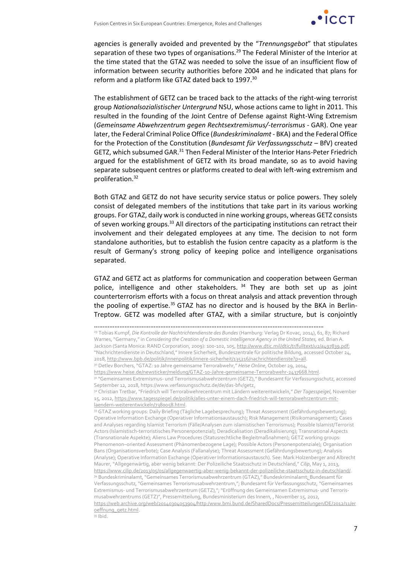

agencies is generally avoided and prevented by the "*Trennungsgebot*" that stipulates separation of these two types of organisations.<sup>29</sup> The Federal Minister of the Interior at the time stated that the GTAZ was needed to solve the issue of an insufficient flow of information between security authorities before 2004 and he indicated that plans for reform and a platform like GTAZ dated back to 1997.<sup>30</sup>

The establishment of GETZ can be traced back to the attacks of the right-wing terrorist group *Nationalsozialistischer Untergrund* NSU, whose actions came to light in 2011. This resulted in the founding of the Joint Centre of Defense against Right-Wing Extremism (*Gemeinsame Abwehrzentrum gegen Rechtsextremismus/-terrorismus* - GAR). One year later, the Federal Criminal Police Office (*Bundeskriminalamt* - BKA) and the Federal Office for the Protection of the Constitution (*Bundesamt für Verfassungsschutz* – BfV) created GETZ, which subsumed GAR.<sup>31</sup> Then Federal Minister of the Interior Hans-Peter Friedrich argued for the establishment of GETZ with its broad mandate, so as to avoid having separate subsequent centres or platforms created to deal with left-wing extremism and proliferation.<sup>32</sup>

Both GTAZ and GETZ do not have security service status or police powers. They solely consist of delegated members of the institutions that take part in its various working groups. For GTAZ, daily work is conducted in nine working groups, whereas GETZ consists of seven working groups.<sup>33</sup> All directors of the participating institutions can retract their involvement and their delegated employees at any time. The decision to not form standalone authorities, but to establish the fusion centre capacity as a platform is the result of Germany's strong policy of keeping police and intelligence organisations separated.

GTAZ and GETZ act as platforms for communication and cooperation between German police, intelligence and other stakeholders. <sup>34</sup> They are both set up as joint counterterrorism efforts with a focus on threat analysis and attack prevention through the pooling of expertise.<sup>35</sup> GTAZ has no director and is housed by the BKA in Berlin-Treptow. GETZ was modelled after GTAZ, with a similar structure, but is conjointly

<sup>33</sup> GTAZ working groups: Daily Briefing (Tägliche Lagebesprechung); Threat Assessment (Gefährdungsbewertung); Operative Information Exchange (Operativer Informationsaustausch); Risk Management (Risikomanagement); Cases and Analyses regarding Islamist Terrorism (Fälle/Analysen zum islamistischen Terrorismus); Possible Islamist/Terrorist Actors (Islamistisch-terroristisches Personenpotenzial); Deradicalisation (Deradikalisierung); Transnational Aspects (Transnationale Aspekte); Aliens Law Procedures (Statusrechtliche Begleitmaßnahmen); GETZ working groups: Phenomenon–oriented Assessment (Phänomenbezogene Lage); Possible Actors (Personenpotenziale); Organisation Bans (Organisationsverbote); Case Analysis (Fallanalyse); Threat Assessment (Gefährdungsbewertung); Analysis (Analyse); Operative Information Exchange (Operativer Informationsaustausch). See: Mark Holzenberger and Albrecht Maurer, "Allgegenwärtig, aber wenig bekannt: Der Polizeiliche Staatsschutz in Deutschland," *Cilip*, May 1, 2013, [https://www.cilip.de/2013/05/01/allgegenwaertig-aber-wenig-bekannt-der-polizeiliche-staatsschutz-in-deutschland/.](https://www.cilip.de/2013/05/01/allgegenwaertig-aber-wenig-bekannt-der-polizeiliche-staatsschutz-in-deutschland/) 34 Bundeskriminalamt, "Gemeinsames Terrorismusabwehrzentrum (GTAZ)," Bundeskriminalamt; Bundesamt für Verfassungsschutz, "Gemeinsames Terrorismusabwehrzentrum,"; Bundesamt für Verfassungsschutz, "Gemeinsames Extremismus- und Terrorismusabwehrzentrum (GETZ),"; "Eröffnung des Gemeinsamen Extremismus- und Terrorismusabwehrzentrums (GETZ)", Pressemitteilung, Bundesministerium des Innern, , November 15, 2012, [https://web.archive.org/web/20140304053904/http:/www.bmi.bund.de/SharedDocs/Pressemitteilungen/DE/2012/11/er](https://web.archive.org/web/20140304053904/http:/www.bmi.bund.de/SharedDocs/Pressemitteilungen/DE/2012/11/eroeffnung_getz.html) [oeffnung\\_getz.html.](https://web.archive.org/web/20140304053904/http:/www.bmi.bund.de/SharedDocs/Pressemitteilungen/DE/2012/11/eroeffnung_getz.html)

<sup>35</sup> Ibid.

<sup>………………………………………………………………………………………………………………………</sup>

<sup>29</sup> Tobias Kumpf, *Die Kontrolle der Nachtrichtendienste des Bundes* (Hamburg: Verlag Dr Kovac, 2014), 61, 87; Richard Warnes, "Germany," in *Considering the Creation of a Domestic Intelligence Agency in the United States,* ed. Brian A. Jackson (Santa Monica: RAND Corporation, 2009): 100-102, 105, [http://www.dtic.mil/dtic/tr/fulltext/u2/a497839.pdf;](http://www.dtic.mil/dtic/tr/fulltext/u2/a497839.pdf) "Nachrichtendienste in Deutschland," Innere Sicherheit, Bundeszentrale für politische Bildung, accessed October 24, 2018, [http://www.bpb.de/politik/innenpolitik/innere-sicherheit/135216/nachrichtendienste?p=all.](http://www.bpb.de/politik/innenpolitik/innere-sicherheit/135216/nachrichtendienste?p=all)

<sup>30</sup> Detlev Borchers, "GTAZ: 10 Jahre gemeinsame Terrorabwehr," *Heise Online*, October 29, 2014,

[https://www.heise.de/newsticker/meldung/GTAZ-10-Jahre-gemeinsame-Terrorabwehr-2437668.html.](https://www.heise.de/newsticker/meldung/GTAZ-10-Jahre-gemeinsame-Terrorabwehr-2437668.html)

<sup>31 &</sup>quot;Gemeinsames Extremismus- und Terrorismusabwehrzentrum (GETZ)," Bundesamt für Verfassungsschutz, accessed September 12, 2018, https://www.verfassungsschutz.de/de/das-bfv/getz.

<sup>32</sup> Christian Tretbar, "Friedrich will Terrorabwehrecentrum mit Ländern weiterentwickeln," *Der Tagesspeigel*, November 15, 2012, [https://www.tagesspiegel.de/politik/alles-unter-einem-dach-friedrich-will-terrorabwehrzentrum-mit](https://www.tagesspiegel.de/politik/alles-unter-einem-dach-friedrich-will-terrorabwehrzentrum-mit-laendern-weiterentwickeln/7380058.html)[laendern-weiterentwickeln/7380058.html.](https://www.tagesspiegel.de/politik/alles-unter-einem-dach-friedrich-will-terrorabwehrzentrum-mit-laendern-weiterentwickeln/7380058.html)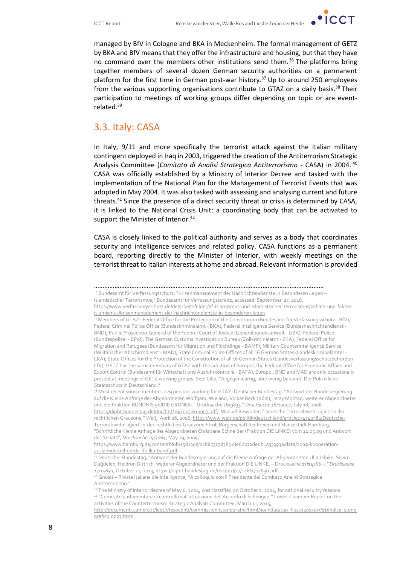

managed by BfV in Cologne and BKA in Meckenheim. The formal management of GETZ by BKA and BfV means that they offer the infrastructure and housing, but that they have no command over the members other institutions send them.<sup>36</sup> The platforms bring together members of several dozen German security authorities on a permanent platform for the first time in German post-war history.<sup>37</sup> Up to around 250 employees from the various supporting organisations contribute to GTAZ on a daily basis.<sup>38</sup> Their participation to meetings of working groups differ depending on topic or are eventrelated.<sup>39</sup>

#### 3.3. Italy: CASA

In Italy, 9/11 and more specifically the terrorist attack against the Italian military contingent deployed in Iraq in 2003, triggered the creation of the Antiterrorism Strategic Analysis Committee (*Comitato di Analisi Strategica Antiterrorismo* - CASA) in 2004. <sup>40</sup> CASA was officially established by a Ministry of Interior Decree and tasked with the implementation of the National Plan for the Management of Terrorist Events that was adopted in May 2004. It was also tasked with assessing and analysing current and future threats.<sup>41</sup> Since the presence of a direct security threat or crisis is determined by CASA, it is linked to the National Crisis Unit: a coordinating body that can be activated to support the Minister of Interior.<sup>42</sup>

CASA is closely linked to the political authority and serves as a body that coordinates security and intelligence services and related policy. CASA functions as a permanent board, reporting directly to the Minister of Interior, with weekly meetings on the terrorist threat to Italian interests at home and abroad. Relevant information is provided

<sup>………………………………………………………………………………………………………………………</sup> 36 Bundesamt für Verfassungsschutz, "Krisenmanagement der Nachrichtendienste in Besonderen Lagen – Islamistischer Terrorismus," Bundesamt für Verfassungsschutz, accessed September 27, 2018,

[https://www.verfassungsschutz.de/de/arbeitsfelder/af-islamismus-und-islamistischer-terrorismus/zahlen-und-fakten](https://www.verfassungsschutz.de/de/arbeitsfelder/af-islamismus-und-islamistischer-terrorismus/zahlen-und-fakten-islamismus/krisenmanagement-der-nachrichtendienste-in-besonderen-lagen)[islamismus/krisenmanagement-der-nachrichtendienste-in-besonderen-lagen.](https://www.verfassungsschutz.de/de/arbeitsfelder/af-islamismus-und-islamistischer-terrorismus/zahlen-und-fakten-islamismus/krisenmanagement-der-nachrichtendienste-in-besonderen-lagen)

<sup>37</sup> Members of GTAZ : Federal Office for the Protection of the Constitution (Bundesamt für Verfassungsschutz - BfV); Federal Criminal Police Office (Bundeskriminalamt - BKA); Federal Intelligence Service (Bundesnachrichtendienst - BND); Public Prosecutor General of the Federal Court of Justice (Generalbundesanwalt - GBA); Federal Police (Bundespolizei - BPol); The German Customs Investigation Bureau (Zollkriminalamt - ZKA); Federal Office for Migration and Refugees (Bundesamt für Migration und Flüchtlinge - BAMF); Military Counterintelligence Service (Militärischer Abschirmdienst - MAD); State Criminal Police Offices of all 16 German States (Landeskriminalämter - LKA); State Offices for the Protection of the Constitution of all 16 German States (Landesverfassungsschutzbehörden - LfV). GETZ has the same members of GTAZ with the addition of Europol, the Federal Office for Economic Affairs and Export Control (Bundesamt für Wirtschaft und Ausfuhrkontrolle - BAFA). Europol, BND and MAD are only occasionally present at meetings of GETZ working groups. See: Cilip, "Allgegenwärtig, aber wenig bekannt: Der Polizeiliche Staatsschutz in Deutschland."

<sup>38</sup> Most recent source mentions 229 persons working for GTAZ: Deutscher Bundestag, "Antwort der Bundesregierung auf die Kleine Anfrage der Abgeordneten Wolfgang Wieland, Volker Beck (Köln), Jerzy Montag, weiterer Abgeordneter und der Fraktion BÜNDNIS 90/DIE GRÜNEN – Drucksache 16/9833," *Drucksache 16/10007*, July 18, 2008, [https://dipbt.bundestag.de/doc/btd/16/100/1610007.pdf;](https://dipbt.bundestag.de/doc/btd/16/100/1610007.pdf) Manuel Bewarder, "Deutsche Terrorabwehr agiert in der rechtlichen Grauzone," *Welt*, April 26, 2016, [https://www.welt.de/politik/deutschland/article154742382/Deutsche-](https://www.welt.de/politik/deutschland/article154742382/Deutsche-Terrorabwehr-agiert-in-der-rechtlichen-Grauzone.html)[Terrorabwehr-agiert-in-der-rechtlichen-Grauzone.html;](https://www.welt.de/politik/deutschland/article154742382/Deutsche-Terrorabwehr-agiert-in-der-rechtlichen-Grauzone.html) Bürgerschaft der Freien und Hansestadt Hamburg, "Schriftliche Kleine Anfrage der Abgeordneten Christiane Schneider (Fraktion DIE LINKE) vom 12.05.09 und Antwort des Senats", *Drucksache 19/3064*, May 19, 2009,

[https://www.hamburg.de/contentblob/1581308/2c885327838318e6d072dedb1a33393a/data/2009-kooperation](https://www.hamburg.de/contentblob/1581308/2c885327838318e6d072dedb1a33393a/data/2009-kooperation-auslaenderbehoerde-lfv-lka-bamf.pdf)[auslaenderbehoerde-lfv-lka-bamf.pdf.](https://www.hamburg.de/contentblob/1581308/2c885327838318e6d072dedb1a33393a/data/2009-kooperation-auslaenderbehoerde-lfv-lka-bamf.pdf)

<sup>39</sup> Deutscher Bundestag, "Antwort der Bundesregierung auf die Kleine Anfrage der Abgeordneten Ulla Jelpke, Sevim Dağdelen, Heidrun Dittrich, weiterer Abgeordneter und der Fraktion DIE LINKE. – Drucksache 17/14766 *–," Drucksache 17/14830*, October 21, 2013, [https://dipbt.bundestag.de/doc/btd/17/148/1714830.pdf.](https://dipbt.bundestag.de/doc/btd/17/148/1714830.pdf)

<sup>40</sup> Gnosis – Rivista Italiana die Intelligence, "A colloquio con il Presidente del Comitato Analisi Strategica Antiterrorismo."

<sup>41</sup> The Ministry of Interior decree of May 6, 2004, was classified on October 2, 2004, for national security reasons. <sup>42</sup> "Comitato parlamentare di controllo sull'attuazione dell'Accordo di Schengen," Lower Chamber Report on the activities of the Counterterrorism Strategic Analysis Committee, March 11, 2015,

[http://documenti.camera.it/leg17/resoconti/commissioni/stenografici/html/30/indag/c30\\_flussi/2015/03/11/indice\\_steno](http://documenti.camera.it/leg17/resoconti/commissioni/stenografici/html/30/indag/c30_flussi/2015/03/11/indice_stenografico.0023.html) [grafico.0023.html.](http://documenti.camera.it/leg17/resoconti/commissioni/stenografici/html/30/indag/c30_flussi/2015/03/11/indice_stenografico.0023.html)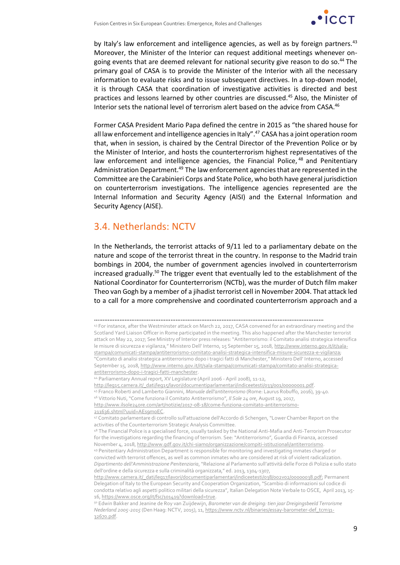

by Italy's law enforcement and intelligence agencies, as well as by foreign partners.<sup>43</sup> Moreover, the Minister of the Interior can request additional meetings whenever ongoing events that are deemed relevant for national security give reason to do so.<sup>44</sup> The primary goal of CASA is to provide the Minister of the Interior with all the necessary information to evaluate risks and to issue subsequent directives. In a top-down model, it is through CASA that coordination of investigative activities is directed and best practices and lessons learned by other countries are discussed.<sup>45</sup> Also, the Minister of Interior sets the national level of terrorism alert based on the advice from CASA.<sup>46</sup>

Former CASA President Mario Papa defined the centre in 2015 as "the shared house for all law enforcement and intelligence agencies in Italy".<sup>47</sup> CASA has a joint operation room that, when in session, is chaired by the Central Director of the Prevention Police or by the Minister of Interior, and hosts the counterterrorism highest representatives of the law enforcement and intelligence agencies, the Financial Police, <sup>48</sup> and Penitentiary Administration Department.<sup>49</sup> The law enforcement agencies that are represented in the Committee are the Carabinieri Corps and State Police, who both have general jurisdiction on counterterrorism investigations. The intelligence agencies represented are the Internal Information and Security Agency (AISI) and the External Information and Security Agency (AISE).

### 3.4. Netherlands: NCTV

In the Netherlands, the terrorist attacks of 9/11 led to a parliamentary debate on the nature and scope of the terrorist threat in the country. In response to the Madrid train bombings in 2004, the number of government agencies involved in counterterrorism increased gradually.<sup>50</sup> The trigger event that eventually led to the establishment of the National Coordinator for Counterterrorism (NCTb), was the murder of Dutch film maker Theo van Gogh by a member of a jihadist terrorist cell in November 2004. That attack led to a call for a more comprehensive and coordinated counterterrorism approach and a

………………………………………………………………………………………………………………………

<sup>46</sup> Vittorio Nuti, "Come funziona il Comitato Antiterrorismo", *Il Sole 24 ore*, August 19, 2017, [http://www.ilsole24ore.com/art/notizie/2017-08-18/come-funziona-comitato-antiterrorismo-](http://www.ilsole24ore.com/art/notizie/2017-08-18/come-funziona-comitato-antiterrorismo-211636.shtml?uuid=AEs9moEC)[211636.shtml?uuid=AEs9moEC.](http://www.ilsole24ore.com/art/notizie/2017-08-18/come-funziona-comitato-antiterrorismo-211636.shtml?uuid=AEs9moEC)

<sup>43</sup> For instance, after the Westminster attack on March 22, 2017, CASA convened for an extraordinary meeting and the Scotland Yard Liaison Officer in Rome participated in the meeting. This also happened after the Manchester terrorist attack on May 22, 2017; See Ministry of Interior press releases: "Antiterrorismo: il Comitato analisi strategica intensifica le misure di sicurezza e vigilanza," Ministero Dell' Interno, 15 September 15, 2018, [http://www.interno.gov.it/it/sala](http://www.interno.gov.it/it/sala-stampa/comunicati-stampa/antiterrorismo-comitato-analisi-strategica-intensifica-misure-sicurezza-e-vigilanza)[stampa/comunicati-stampa/antiterrorismo-comitato-analisi-strategica-intensifica-misure-sicurezza-e-vigilanza;](http://www.interno.gov.it/it/sala-stampa/comunicati-stampa/antiterrorismo-comitato-analisi-strategica-intensifica-misure-sicurezza-e-vigilanza) "Comitato di analisi strategica antiterrorismo dopo i tragici fatti di Manchester," Ministero Dell' Interno, accessed September 15, 2018[, http://www.interno.gov.it/it/sala-stampa/comunicati-stampa/comitato-analisi-strategica-](http://www.interno.gov.it/it/sala-stampa/comunicati-stampa/comitato-analisi-strategica-antiterrorismo-dopo-i-tragici-fatti-manchester)

[antiterrorismo-dopo-i-tragici-fatti-manchester.](http://www.interno.gov.it/it/sala-stampa/comunicati-stampa/comitato-analisi-strategica-antiterrorismo-dopo-i-tragici-fatti-manchester)

<sup>44</sup> Parliamentary Annual report, XV Legislature (April 2006 - April 2008), 11-12,

[http://leg15.camera.it/\\_dati/leg15/lavori/documentiparlamentari/indiceetesti/033/001/00000001.pdf.](http://leg15.camera.it/_dati/leg15/lavori/documentiparlamentari/indiceetesti/033/001/00000001.pdf)

<sup>45</sup> Franco Roberti and Lamberto Giannini, *Manuale dell'antiterrorismo* (Rome: Laurus Robuffo, 2016), 39-40.

<sup>47</sup> Comitato parlamentare di controllo sull'attuazione dell'Accordo di Schengen, "Lower Chamber Report on the activities of the Counterterrorism Strategic Analysis Committee.

<sup>48</sup> The Financial Police is a specialised force, usually tasked by the National Anti-Mafia and Anti-Terrorism Prosecutor for the investigations regarding the financing of terrorism. See: "Antiterrorismo", Guardia di Finanza, accessed November 4, 2018[, http://www.gdf.gov.it/chi-siamo/organizzazione/compiti-istituzionali/antiterrorismo.](http://www.gdf.gov.it/chi-siamo/organizzazione/compiti-istituzionali/antiterrorismo) <sup>49</sup> Penitentiary Administration Department is responsible for monitoring and investigating inmates charged or convicted with terrorist offences, as well as common inmates who are considered at risk of violent radicalization. *Dipartimento dell'Amministrazione Penitenziaria*, "Relazione al Parlamento sull'attività delle Forze di Polizia e sullo stato

dell'ordine e della sicurezza e sulla criminalità organizzata," ed. 2013, 1304-1307, [http://www.camera.it/\\_dati/leg17/lavori/documentiparlamentari/indiceetesti/038/002v02/00000038.pdf;](http://www.camera.it/_dati/leg17/lavori/documentiparlamentari/indiceetesti/038/002v02/00000038.pdf) Permanent Delegation of Italy to the European Security and Cooperation Organization, "Scambio di informazioni sul codice di condotta relativo agli aspetti politico militari della sicurezza", Italian Delegation Note Verbale to OSCE, April 2013, 15- 16[, https://www.osce.org/it/fsc/101419?download=true.](https://www.osce.org/it/fsc/101419?download=true)

<sup>50</sup> Edwin Bakker and Jeanine de Roy van Zuijdewijn, *Barometer van de dreiging: tien jaar Dreigingsbeeld Terrorisme Nederland 2005-2015* (Den Haag: NCTV, 2015), 11, [https://www.nctv.nl/binaries/essay-barometer-def\\_tcm31-](https://www.nctv.nl/binaries/essay-barometer-def_tcm31-32670.pdf) [32670.pdf.](https://www.nctv.nl/binaries/essay-barometer-def_tcm31-32670.pdf)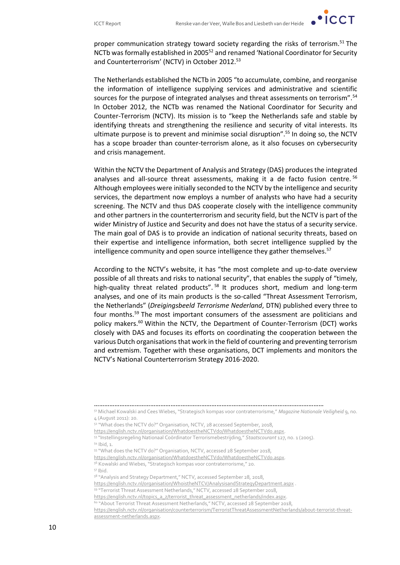$\cdot$  ICCT

proper communication strategy toward society regarding the risks of terrorism.<sup>51</sup> The NCTb was formally established in 2005<sup>52</sup> and renamed 'National Coordinator for Security and Counterterrorism' (NCTV) in October 2012.<sup>53</sup>

The Netherlands established the NCTb in 2005 "to accumulate, combine, and reorganise the information of intelligence supplying services and administrative and scientific sources for the purpose of integrated analyses and threat assessments on terrorism".<sup>54</sup> In October 2012, the NCTb was renamed the National Coordinator for Security and Counter-Terrorism (NCTV). Its mission is to "keep the Netherlands safe and stable by identifying threats and strengthening the resilience and security of vital interests. Its ultimate purpose is to prevent and minimise social disruption".<sup>55</sup> In doing so, the NCTV has a scope broader than counter-terrorism alone, as it also focuses on cybersecurity and crisis management.

Within the NCTV the Department of Analysis and Strategy (DAS) produces the integrated analyses and all-source threat assessments, making it a de facto fusion centre. <sup>56</sup> Although employees were initially seconded to the NCTV by the intelligence and security services, the department now employs a number of analysts who have had a security screening. The NCTV and thus DAS cooperate closely with the intelligence community and other partners in the counterterrorism and security field, but the NCTV is part of the wider Ministry of Justice and Security and does not have the status of a security service. The main goal of DAS is to provide an indication of national security threats, based on their expertise and intelligence information, both secret intelligence supplied by the intelligence community and open source intelligence they gather themselves.<sup>57</sup>

According to the NCTV's website, it has "the most complete and up-to-date overview possible of all threats and risks to national security", that enables the supply of "timely, high-quality threat related products".<sup>58</sup> It produces short, medium and long-term analyses, and one of its main products is the so-called "Threat Assessment Terrorism, the Netherlands" (*Dreigingsbeeld Terrorisme Nederland*, DTN) published every three to four months.<sup>59</sup> The most important consumers of the assessment are politicians and policy makers.<sup>60</sup> Within the NCTV, the Department of Counter-Terrorism (DCT) works closely with DAS and focuses its efforts on coordinating the cooperation between the various Dutch organisations that work in the field of countering and preventing terrorism and extremism. Together with these organisations, DCT implements and monitors the NCTV's National Counterterrorism Strategy 2016-2020.

53 "Instellingsregeling Nationaal Coördinator Terrorismebestrijding," *Staatscourant* 127, no. 1 (2005). <sup>54</sup> Ibid, 1.

[https://english.nctv.nl/topics\\_a\\_z/terrorist\\_threat\\_assessment\\_netherlands/index.aspx.](https://english.nctv.nl/topics_a_z/terrorist_threat_assessment_netherlands/index.aspx)

<sup>………………………………………………………………………………………………………………………</sup>

<sup>51</sup> Michael Kowalski and Cees Wiebes, "Strategisch kompas voor contraterrorisme," *Magazine Nationale Veiligheid* 9, no. 4 (August 2011): 20.

<sup>&</sup>lt;sup>52</sup> "What does the NCTV do?" Organisation, NCTV, 28 accessed September, 2018,

[https://english.nctv.nl/organisation/WhatdoestheNCTVdo/WhatdoestheNCTVdo.aspx.](https://english.nctv.nl/organisation/WhatdoestheNCTVdo/WhatdoestheNCTVdo.aspx)

<sup>55</sup> "What does the NCTV do?" Organisation, NCTV, accessed 28 September 2018,

[https://english.nctv.nl/organisation/WhatdoestheNCTVdo/WhatdoestheNCTVdo.aspx.](https://english.nctv.nl/organisation/WhatdoestheNCTVdo/WhatdoestheNCTVdo.aspx)

<sup>56</sup> Kowalski and Wiebes, "Strategisch kompas voor contraterrorisme," 20. <sup>57</sup> Ibid.

<sup>58 &</sup>quot;Analysis and Strategy Department," NCTV, accessed September 28, 2018,

<https://english.nctv.nl/organisation/WhoistheNTCV/AnalysisandStrategyDepartment.aspx>

<sup>59</sup> "Terrorist Threat Assessment Netherlands," NCTV, accessed 28 September 2018,

<sup>60</sup> "About Terrorist Threat Assessment Netherlands," NCTV, accessed 28 September 2018,

[https://english.nctv.nl/organisation/counterterrorism/TerroristThreatAssessmentNetherlands/about-terrorist-threat](https://english.nctv.nl/organisation/counterterrorism/TerroristThreatAssessmentNetherlands/about-terrorist-threat-assessment-netherlands.aspx)[assessment-netherlands.aspx.](https://english.nctv.nl/organisation/counterterrorism/TerroristThreatAssessmentNetherlands/about-terrorist-threat-assessment-netherlands.aspx)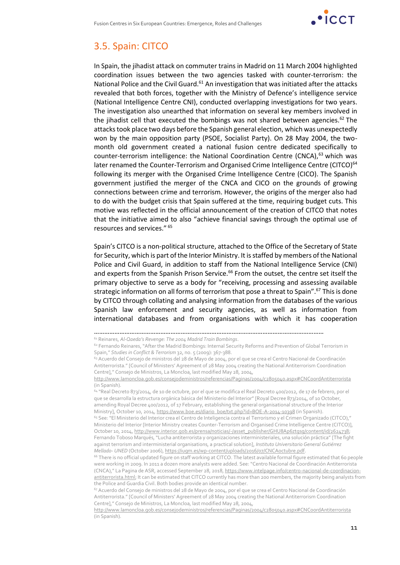

### 3.5. Spain: CITCO

In Spain, the jihadist attack on commuter trains in Madrid on 11 March 2004 highlighted coordination issues between the two agencies tasked with counter-terrorism: the National Police and the Civil Guard.<sup>61</sup> An investigation that was initiated after the attacks revealed that both forces, together with the Ministry of Defence's intelligence service (National Intelligence Centre CNI), conducted overlapping investigations for two years. The investigation also unearthed that information on several key members involved in the jihadist cell that executed the bombings was not shared between agencies.<sup>62</sup> The attacks took place two days before the Spanish general election, which was unexpectedly won by the main opposition party (PSOE, Socialist Party). On 28 May 2004, the twomonth old government created a national fusion centre dedicated specifically to counter-terrorism intelligence: the National Coordination Centre (CNCA), $63$  which was later renamed the Counter-Terrorism and Organised Crime Intelligence Centre (CITCO)<sup>64</sup> following its merger with the Organised Crime Intelligence Centre (CICO). The Spanish government justified the merger of the CNCA and CICO on the grounds of growing connections between crime and terrorism. However, the origins of the merger also had to do with the budget crisis that Spain suffered at the time, requiring budget cuts. This motive was reflected in the official announcement of the creation of CITCO that notes that the initiative aimed to also "achieve financial savings through the optimal use of resources and services." <sup>65</sup>

Spain's CITCO is a non-political structure, attached to the Office of the Secretary of State for Security, which is part of the Interior Ministry. It is staffed by members of the National Police and Civil Guard, in addition to staff from the National Intelligence Service (CNI) and experts from the Spanish Prison Service.<sup>66</sup> From the outset, the centre set itself the primary objective to serve as a body for "receiving, processing and assessing available strategic information on all forms of terrorism that pose a threat to Spain".<sup>67</sup> This is done by CITCO through collating and analysing information from the databases of the various Spanish law enforcement and security agencies, as well as information from international databases and from organisations with which it has cooperation

<sup>64</sup> "Real Decreto 873/2014, de 10 de octubre, por el que se modifica el Real Decreto 400/2012, de 17 de febrero, por el que se desarrolla la estructura orgánica básica del Ministerio del Interior" [Royal Decree 873/2014, of 10 October, amending Royal Decree 400/2012, of 17 February, establishing the general organisational structure of the Interior Ministry], October 10, 2014, [https://www.boe.es/diario\\_boe/txt.php?id=BOE-A-2014-10398](https://www.boe.es/diario_boe/txt.php?id=BOE-A-2014-10398) (in Spanish).

<sup>65</sup> See: "El Ministerio del Interior crea el Centro de Inteligencia contra el Terrorismo y el Crimen Organizado (CITCO)," Ministerio del Interior [Interior Ministry creates Counter-Terrorism and Organised Crime Intelligence Centre (CITCO)], October 10, 2014[, http://www.interior.gob.es/prensa/noticias/-/asset\\_publisher/GHU8Ap6ztgsg/content/id/2624738;](http://www.interior.gob.es/prensa/noticias/-/asset_publisher/GHU8Ap6ztgsg/content/id/2624738) Fernando Toboso Marqués, "Lucha antiterrorista y organizaciones interministeriales, una solución práctica" [The fight against terrorism and interministerial organisations, a practical solution], *Instituto Universitario General Gutiérrez Mellado- UNED* (October 2006), [https://iugm.es/wp-content/uploads/2016/07/CNCAoctubre.pdf.](https://iugm.es/wp-content/uploads/2016/07/CNCAoctubre.pdf)

<sup>66</sup> There is no official updated figure on staff working at CITCO. The latest available formal figure estimated that 60 people were working in 2009. In 2011 a dozen more analysts were added. See: "Centro Nacional de Coordinación Antiterrorista (CNCA)," La Pagina de ASR, accessed September 28, 2018[, https://www.intelpage.info/centro-nacional-de-coordinacion](https://www.intelpage.info/centro-nacional-de-coordinacion-antiterrorista.html)[antiterrorista.html;](https://www.intelpage.info/centro-nacional-de-coordinacion-antiterrorista.html) It can be estimated that CITCO currently has more than 200 members, the majority being analysts from the Police and Guardia Civil. Both bodies provide an identical number.

 $67$  Acuerdo del Consejo de ministros del 28 de Mayo de 2004, por el que se crea el Centro Nacional de Coordinación Antiterrorista." [Council of Ministers' Agreement of 28 May 2004 creating the National Antiterrorism Coordination Centre]," Consejo de Ministros, La Moncloa, last modified May 28, 2004,

<http://www.lamoncloa.gob.es/consejodeministros/referencias/Paginas/2004/c2805040.aspx#CNCoordAntiterrorista> (in Spanish).

<sup>………………………………………………………………………………………………………………………</sup>

<sup>61</sup> Reinares, *Al-Qaeda's Revenge: The 2004 Madrid Train Bombings*.

<sup>62</sup> Fernando Reinares, "After the Madrid Bombings: Internal Security Reforms and Prevention of Global Terrorism in Spain," *Studies in Conflict & Terrorism* 32, no. 5 (2009): 367-388.

<sup>&</sup>lt;sup>63</sup> Acuerdo del Consejo de ministros del 28 de Mayo de 2004, por el que se crea el Centro Nacional de Coordinación Antiterrorista." [Council of Ministers' Agreement of 28 May 2004 creating the National Antiterrorism Coordination Centre]," Consejo de Ministros, La Moncloa, last modified May 28, 2004,

<http://www.lamoncloa.gob.es/consejodeministros/referencias/Paginas/2004/c2805040.aspx#CNCoordAntiterrorista> (in Spanish).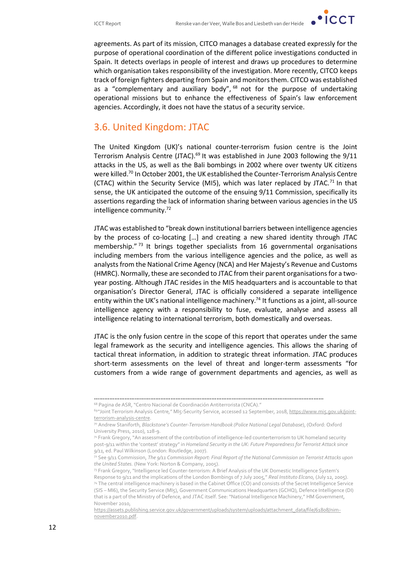

agreements. As part of its mission, CITCO manages a database created expressly for the purpose of operational coordination of the different police investigations conducted in Spain. It detects overlaps in people of interest and draws up procedures to determine which organisation takes responsibility of the investigation. More recently, CITCO keeps track of foreign fighters departing from Spain and monitors them. CITCO was established as a "complementary and auxiliary body", <sup>68</sup> not for the purpose of undertaking operational missions but to enhance the effectiveness of Spain's law enforcement agencies. Accordingly, it does not have the status of a security service.

### 3.6. United Kingdom: JTAC

The United Kingdom (UK)'s national counter-terrorism fusion centre is the Joint Terrorism Analysis Centre (JTAC).<sup>69</sup> It was established in June 2003 following the  $9/11$ attacks in the US, as well as the Bali bombings in 2002 where over twenty UK citizens were killed.<sup>70</sup> In October 2001, the UK established the Counter-Terrorism Analysis Centre (CTAC) within the Security Service (MI5), which was later replaced by JTAC.<sup>71</sup> In that sense, the UK anticipated the outcome of the ensuing 9/11 Commission, specifically its assertions regarding the lack of information sharing between various agencies in the US intelligence community.<sup>72</sup>

JTAC was established to "break down institutional barriers between intelligence agencies by the process of co-locating […] and creating a new shared identity through JTAC membership." $^{73}$  It brings together specialists from 16 governmental organisations including members from the various intelligence agencies and the police, as well as analysts from the National Crime Agency (NCA) and Her Majesty's Revenue and Customs (HMRC). Normally, these are seconded to JTAC from their parent organisations for a twoyear posting. Although JTAC resides in the MI5 headquarters and is accountable to that organisation's Director General, JTAC is officially considered a separate intelligence entity within the UK's national intelligence machinery.<sup>74</sup> It functions as a joint, all-source intelligence agency with a responsibility to fuse, evaluate, analyse and assess all intelligence relating to international terrorism, both domestically and overseas.

JTAC is the only fusion centre in the scope of this report that operates under the same legal framework as the security and intelligence agencies. This allows the sharing of tactical threat information, in addition to strategic threat information. JTAC produces short-term assessments on the level of threat and longer-term assessments "for customers from a wide range of government departments and agencies, as well as

<sup>………………………………………………………………………………………………………………………</sup>

<sup>68</sup> Pagina de ASR, "Centro Nacional de Coordinación Antiterrorista (CNCA)."

<sup>&</sup>lt;sup>69</sup> "Joint Terrorism Analysis Centre," MI5-Security Service, accessed 12 September, 2018, <u>https://www.mi5.gov.uk/joint-</u> [terrorism-analysis-centre.](https://www.mi5.gov.uk/joint-terrorism-analysis-centre)

<sup>70</sup> Andrew Staniforth, *Blackstone's Counter-Terrorism Handbook (Police National Legal Database*), (Oxford: Oxford University Press, 2010), 128-9.

<sup>71</sup> Frank Gregory, "An assessment of the contribution of intelligence-led counterterrorism to UK homeland security post-9/11 within the 'contest' strategy" in *Homeland Security in the UK: Future Preparedness for Terrorist Attack since 9/11,* ed. Paul Wilkinson (London: Routledge, 2007).

<sup>72</sup> See 9/11 Commission, *The 9/11 Commission Report: Final Report of the National Commission on Terrorist Attacks upon the United States.* (New York: Norton & Company, 2005).

<sup>73</sup> Frank Gregory, "Intelligence led Counter-terrorism: A Brief Analysis of the UK Domestic Intelligence System's Response to 9/11 and the implications of the London Bombings of 7 July 2005," *Real Instituto Elcano,* (July 12, 2005). <sup>74</sup> The central intelligence machinery is based in the Cabinet Office (CO) and consists of the Secret Intelligence Service (SIS – MI6), the Security Service (MI5), Government Communications Headquarters (GCHQ), Defence Intelligence (DI) that is a part of the Ministry of Defence, and JTAC itself. See: "National Intelligence Machinery," HM Government, November 2010,

[https://assets.publishing.service.gov.uk/government/uploads/system/uploads/attachment\\_data/file/61808/nim](https://assets.publishing.service.gov.uk/government/uploads/system/uploads/attachment_data/file/61808/nim-november2010.pdf)[november2010.pdf.](https://assets.publishing.service.gov.uk/government/uploads/system/uploads/attachment_data/file/61808/nim-november2010.pdf)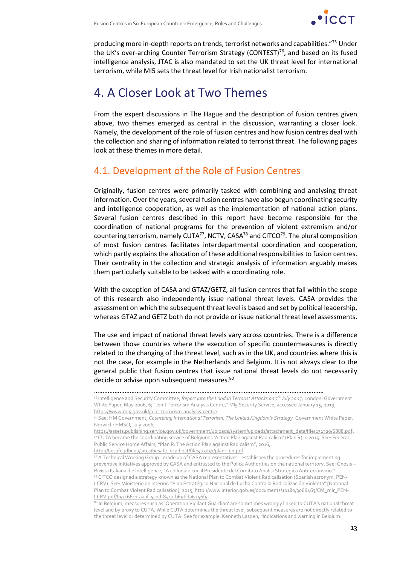

producing more in-depth reports on trends, terrorist networks and capabilities."<sup>75</sup> Under the UK's over-arching Counter Terrorism Strategy (CONTEST)<sup>76</sup>, and based on its fused intelligence analysis, JTAC is also mandated to set the UK threat level for international terrorism, while MI5 sets the threat level for Irish nationalist terrorism.

# 4. A Closer Look at Two Themes

From the expert discussions in The Hague and the description of fusion centres given above, two themes emerged as central in the discussion, warranting a closer look. Namely, the development of the role of fusion centres and how fusion centres deal with the collection and sharing of information related to terrorist threat. The following pages look at these themes in more detail.

### 4.1. Development of the Role of Fusion Centres

Originally, fusion centres were primarily tasked with combining and analysing threat information. Over the years, several fusion centres have also begun coordinating security and intelligence cooperation, as well as the implementation of national action plans. Several fusion centres described in this report have become responsible for the coordination of national programs for the prevention of violent extremism and/or countering terrorism, namely CUTA<sup>77</sup>, NCTV, CASA<sup>78</sup> and CITCO<sup>79</sup>. The plural composition of most fusion centres facilitates interdepartmental coordination and cooperation, which partly explains the allocation of these additional responsibilities to fusion centres. Their centrality in the collection and strategic analysis of information arguably makes them particularly suitable to be tasked with a coordinating role.

With the exception of CASA and GTAZ/GETZ, all fusion centres that fall within the scope of this research also independently issue national threat levels. CASA provides the assessment on which the subsequent threat level is based and set by political leadership, whereas GTAZ and GETZ both do not provide or issue national threat level assessments.

The use and impact of national threat levels vary across countries. There is a difference between those countries where the execution of specific countermeasures is directly related to the changing of the threat level, such as in the UK, and countries where this is not the case, for example in the Netherlands and Belgium. It is not always clear to the general public that fusion centres that issue national threat levels do not necessarily decide or advise upon subsequent measures.<sup>80</sup>

[http://besafe.jdbi.eu/sites/besafe.localhost/files/u3051/planr\\_en.pdf.](http://besafe.jdbi.eu/sites/besafe.localhost/files/u3051/planr_en.pdf)

<sup>………………………………………………………………………………………………………………………</sup>

<sup>75</sup> Intelligence and Security Committee, *Report into the London Terrorist Attacks on 7th July 2005,* London: Government White Paper, May 2006, 6; "Joint Terrorism Analysis Centre," MI5 Security Service, accessed January 15, 2019, [https://www.mi5.gov.uk/joint-terrorism-analysis-centre.](https://www.mi5.gov.uk/joint-terrorism-analysis-centre)

<sup>76</sup> See: HM Government, *Countering International Terrorism: The United Kingdom's Strategy.* Government White Paper. Norwich: HMSO, July 2006,

[https://assets.publishing.service.gov.uk/government/uploads/system/uploads/attachment\\_data/file/272320/6888.pdf.](https://assets.publishing.service.gov.uk/government/uploads/system/uploads/attachment_data/file/272320/6888.pdf)  $\eta$  CUTA became the coordinating service of Belgium's 'Action Plan against Radicalism' (Plan R) in 2015. See: Federal Public Service Home Affairs, "Plan R: The Action Plan against Radicalism", 2016,

 $78$  A Technical Working Group - made up of CASA representatives - establishes the procedures for implementing preventive initiatives approved by CASA and entrusted to the Police Authorities on the national territory. See: Gnosis – Rivista Italiana die Intelligence, "A colloquio con il Presidente del Comitato Analisi Strategica Antiterrorismo." <sup>79</sup> CITCO designed a strategy known as the National Plan to Combat Violent Radicalisation (Spanish acronym, PEN-LCRV). See: Ministerio de Interior, "Plan Estratégico Nacional de Lucha Contra la Radicalización Violenta" [National Plan to Combat Violent Radicalisation], 2015, [http://www.interior.gob.es/documents/10180/3066463/CM\\_mir\\_PEN-](http://www.interior.gob.es/documents/10180/3066463/CM_mir_PEN-LCRV.pdf/b57166c1-aaaf-4c0d-84c7-b69bda6246f5)[LCRV.pdf/b57166c1-aaaf-4c0d-84c7-b69bda6246f5.](http://www.interior.gob.es/documents/10180/3066463/CM_mir_PEN-LCRV.pdf/b57166c1-aaaf-4c0d-84c7-b69bda6246f5)

<sup>80</sup> In Belgium, measures such as 'Operation Vigilant Guardian' are sometimes wrongly linked to CUTA's national threat level and by proxy to CUTA. While CUTA determines the threat level, subsequent measures are not directly related to the threat level or determined by CUTA. See for example: Kenneth Lasoen, "Indications and warning in Belgium: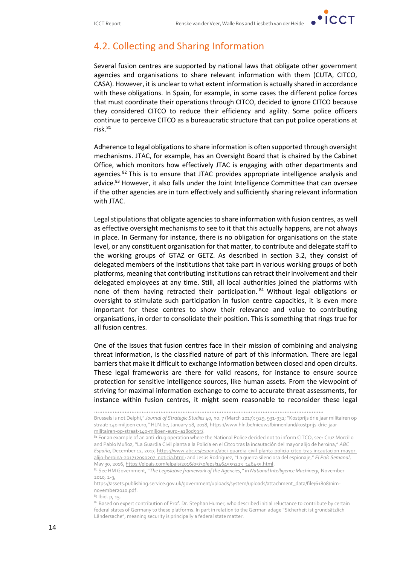

### 4.2. Collecting and Sharing Information

Several fusion centres are supported by national laws that obligate other government agencies and organisations to share relevant information with them (CUTA, CITCO, CASA). However, it is unclear to what extent information is actually shared in accordance with these obligations. In Spain, for example, in some cases the different police forces that must coordinate their operations through CITCO, decided to ignore CITCO because they considered CITCO to reduce their efficiency and agility. Some police officers continue to perceive CITCO as a bureaucratic structure that can put police operations at risk.<sup>81</sup>

Adherence to legal obligations to share information is often supported through oversight mechanisms. JTAC, for example, has an Oversight Board that is chaired by the Cabinet Office, which monitors how effectively JTAC is engaging with other departments and agencies.<sup>82</sup> This is to ensure that JTAC provides appropriate intelligence analysis and advice.<sup>83</sup> However, it also falls under the Joint Intelligence Committee that can oversee if the other agencies are in turn effectively and sufficiently sharing relevant information with JTAC.

Legal stipulations that obligate agencies to share information with fusion centres, as well as effective oversight mechanisms to see to it that this actually happens, are not always in place. In Germany for instance, there is no obligation for organisations on the state level, or any constituent organisation for that matter, to contribute and delegate staff to the working groups of GTAZ or GETZ. As described in section 3.2, they consist of delegated members of the institutions that take part in various working groups of both platforms, meaning that contributing institutions can retract their involvement and their delegated employees at any time. Still, all local authorities joined the platforms with none of them having retracted their participation. 84 Without legal obligations or oversight to stimulate such participation in fusion centre capacities, it is even more important for these centres to show their relevance and value to contributing organisations, in order to consolidate their position. This is something that rings true for all fusion centres.

One of the issues that fusion centres face in their mission of combining and analysing threat information, is the classified nature of part of this information. There are legal barriers that make it difficult to exchange information between closed and open circuits. These legal frameworks are there for valid reasons, for instance to ensure source protection for sensitive intelligence sources, like human assets. From the viewpoint of striving for maximal information exchange to come to accurate threat assessments, for instance within fusion centres, it might seem reasonable to reconsider these legal

[https://assets.publishing.service.gov.uk/government/uploads/system/uploads/attachment\\_data/file/61808/nim](https://assets.publishing.service.gov.uk/government/uploads/system/uploads/attachment_data/file/61808/nim-november2010.pdf)[november2010.pdf.](https://assets.publishing.service.gov.uk/government/uploads/system/uploads/attachment_data/file/61808/nim-november2010.pdf)

<sup>83</sup> Ibid. p, 15.

84 Based on expert contribution of Prof. Dr. Stephan Humer, who described initial reluctance to contribute by certain federal states of Germany to these platforms. In part in relation to the German adage "Sicherheit ist grundsätzlich Ländersache", meaning security is principally a federal state matter.

<sup>………………………………………………………………………………………………………………………</sup>

Brussels is not Delphi," *Journal of Strategic Studies* 40, no. 7 (March 2017): 929, 931-932; "Kostprijs drie jaar militairen op straat: 140 miljoen euro," HLN.be, January 18, 2018, [https://www.hln.be/nieuws/binnenland/kostprijs-drie-jaar](https://www.hln.be/nieuws/binnenland/kostprijs-drie-jaar-militairen-op-straat-140-miljoen-euro~a180d595/)[militairen-op-straat-140-miljoen-euro~a180d595/.](https://www.hln.be/nieuws/binnenland/kostprijs-drie-jaar-militairen-op-straat-140-miljoen-euro~a180d595/)

<sup>81</sup> For an example of an anti-drug operation where the National Police decided not to inform CITCO, see: Cruz Morcillo and Pablo Muñoz, "La Guardia Civil planta a la Policía en el Citco tras la incautación del mayor alijo de heroína," *ABC España*, December 12, 2017[, https://www.abc.es/espana/abci-guardia-civil-planta-policia-citco-tras-incautacion-mayor](https://www.abc.es/espana/abci-guardia-civil-planta-policia-citco-tras-incautacion-mayor-alijo-heroina-201712050207_noticia.html)[alijo-heroina-201712050207\\_noticia.html;](https://www.abc.es/espana/abci-guardia-civil-planta-policia-citco-tras-incautacion-mayor-alijo-heroina-201712050207_noticia.html) and Jesús Rodríguez, "La guerra silenciosa del espionaje," *El País Semanal*, May 30, 2016[, https://elpais.com/elpais/2016/05/30/eps/1464559223\\_146455.html.](https://elpais.com/elpais/2016/05/30/eps/1464559223_146455.html)

<sup>82</sup> See HM Government, "*The Legislative framework of the Agencies,"* in *National Intelligence Machinery,* November 2010*,* 2-3,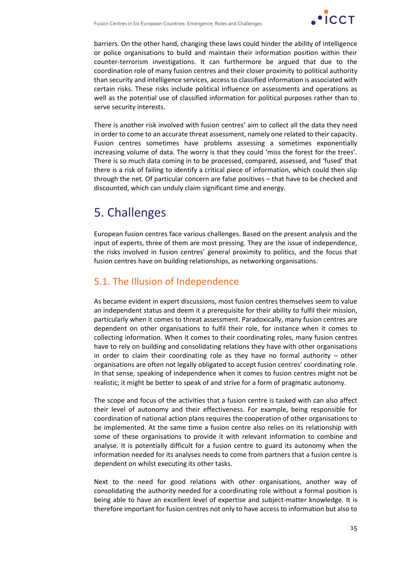

barriers. On the other hand, changing these laws could hinder the ability of intelligence or police organisations to build and maintain their information position within their counter-terrorism investigations. It can furthermore be argued that due to the coordination role of many fusion centres and their closer proximity to political authority than security and intelligence services, access to classified information is associated with certain risks. These risks include political influence on assessments and operations as well as the potential use of classified information for political purposes rather than to serve security interests.

There is another risk involved with fusion centres' aim to collect all the data they need in order to come to an accurate threat assessment, namely one related to their capacity. Fusion centres sometimes have problems assessing a sometimes exponentially increasing volume of data. The worry is that they could 'miss the forest for the trees'. There is so much data coming in to be processed, compared, assessed, and 'fused' that there is a risk of failing to identify a critical piece of information, which could then slip through the net. Of particular concern are false positives – that have to be checked and discounted, which can unduly claim significant time and energy.

# 5. Challenges

European fusion centres face various challenges. Based on the present analysis and the input of experts, three of them are most pressing. They are the issue of independence, the risks involved in fusion centres' general proximity to politics, and the focus that fusion centres have on building relationships, as networking organisations.

### 5.1. The Illusion of Independence

As became evident in expert discussions, most fusion centres themselves seem to value an independent status and deem it a prerequisite for their ability to fulfil their mission, particularly when it comes to threat assessment. Paradoxically, many fusion centres are dependent on other organisations to fulfil their role, for instance when it comes to collecting information. When it comes to their coordinating roles, many fusion centres have to rely on building and consolidating relations they have with other organisations in order to claim their coordinating role as they have no formal authority – other organisations are often not legally obligated to accept fusion centres' coordinating role. In that sense, speaking of independence when it comes to fusion centres might not be realistic; it might be better to speak of and strive for a form of pragmatic autonomy.

The scope and focus of the activities that a fusion centre is tasked with can also affect their level of autonomy and their effectiveness. For example, being responsible for coordination of national action plans requires the cooperation of other organisations to be implemented. At the same time a fusion centre also relies on its relationship with some of these organisations to provide it with relevant information to combine and analyse. It is potentially difficult for a fusion centre to guard its autonomy when the information needed for its analyses needs to come from partners that a fusion centre is dependent on whilst executing its other tasks.

Next to the need for good relations with other organisations, another way of consolidating the authority needed for a coordinating role without a formal position is being able to have an excellent level of expertise and subject-matter knowledge. It is therefore important for fusion centres not only to have access to information but also to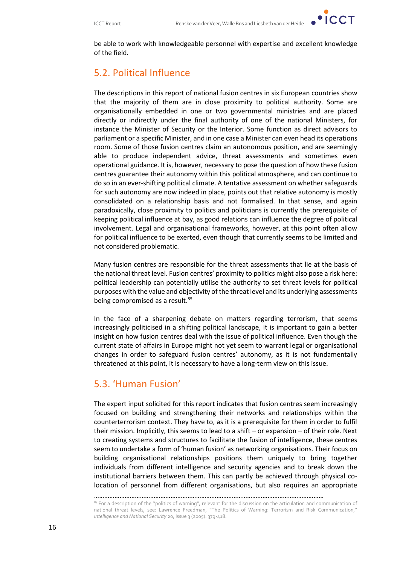

be able to work with knowledgeable personnel with expertise and excellent knowledge of the field.

### 5.2. Political Influence

The descriptions in this report of national fusion centres in six European countries show that the majority of them are in close proximity to political authority. Some are organisationally embedded in one or two governmental ministries and are placed directly or indirectly under the final authority of one of the national Ministers, for instance the Minister of Security or the Interior. Some function as direct advisors to parliament or a specific Minister, and in one case a Minister can even head its operations room. Some of those fusion centres claim an autonomous position, and are seemingly able to produce independent advice, threat assessments and sometimes even operational guidance. It is, however, necessary to pose the question of how these fusion centres guarantee their autonomy within this political atmosphere, and can continue to do so in an ever-shifting political climate. A tentative assessment on whether safeguards for such autonomy are now indeed in place, points out that relative autonomy is mostly consolidated on a relationship basis and not formalised. In that sense, and again paradoxically, close proximity to politics and politicians is currently the prerequisite of keeping political influence at bay, as good relations can influence the degree of political involvement. Legal and organisational frameworks, however, at this point often allow for political influence to be exerted, even though that currently seems to be limited and not considered problematic.

Many fusion centres are responsible for the threat assessments that lie at the basis of the national threat level. Fusion centres' proximity to politics might also pose a risk here: political leadership can potentially utilise the authority to set threat levels for political purposes with the value and objectivity of the threat level and its underlying assessments being compromised as a result.<sup>85</sup>

In the face of a sharpening debate on matters regarding terrorism, that seems increasingly politicised in a shifting political landscape, it is important to gain a better insight on how fusion centres deal with the issue of political influence. Even though the current state of affairs in Europe might not yet seem to warrant legal or organisational changes in order to safeguard fusion centres' autonomy, as it is not fundamentally threatened at this point, it is necessary to have a long-term view on this issue.

### 5.3. 'Human Fusion'

The expert input solicited for this report indicates that fusion centres seem increasingly focused on building and strengthening their networks and relationships within the counterterrorism context. They have to, as it is a prerequisite for them in order to fulfil their mission. Implicitly, this seems to lead to a shift – or expansion – of their role. Next to creating systems and structures to facilitate the fusion of intelligence, these centres seem to undertake a form of 'human fusion' as networking organisations. Their focus on building organisational relationships positions them uniquely to bring together individuals from different intelligence and security agencies and to break down the institutional barriers between them. This can partly be achieved through physical colocation of personnel from different organisations, but also requires an appropriate

<sup>………………………………………………………………………………………………………………………</sup>

<sup>&</sup>lt;sup>85</sup> For a description of the "politics of warning", relevant for the discussion on the articulation and communication of national threat levels, see: Lawrence Freedman, "The Politics of Warning: Terrorism and Risk Communication," *Intelligence and National Security* 20, Issue 3 (2005): 379-418.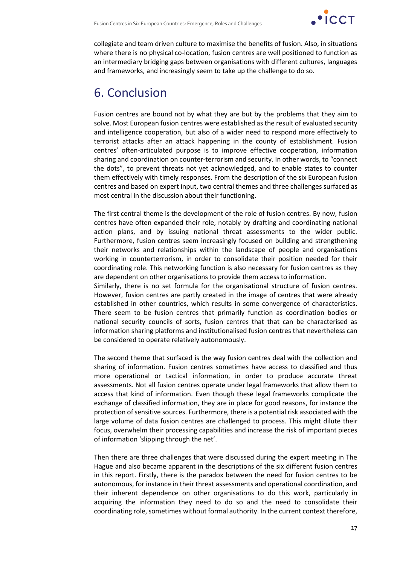

collegiate and team driven culture to maximise the benefits of fusion. Also, in situations where there is no physical co-location, fusion centres are well positioned to function as an intermediary bridging gaps between organisations with different cultures, languages and frameworks, and increasingly seem to take up the challenge to do so.

# 6. Conclusion

Fusion centres are bound not by what they are but by the problems that they aim to solve. Most European fusion centres were established as the result of evaluated security and intelligence cooperation, but also of a wider need to respond more effectively to terrorist attacks after an attack happening in the county of establishment. Fusion centres' often-articulated purpose is to improve effective cooperation, information sharing and coordination on counter-terrorism and security. In other words, to "connect the dots", to prevent threats not yet acknowledged, and to enable states to counter them effectively with timely responses. From the description of the six European fusion centres and based on expert input, two central themes and three challenges surfaced as most central in the discussion about their functioning.

The first central theme is the development of the role of fusion centres. By now, fusion centres have often expanded their role, notably by drafting and coordinating national action plans, and by issuing national threat assessments to the wider public. Furthermore, fusion centres seem increasingly focused on building and strengthening their networks and relationships within the landscape of people and organisations working in counterterrorism, in order to consolidate their position needed for their coordinating role. This networking function is also necessary for fusion centres as they are dependent on other organisations to provide them access to information.

Similarly, there is no set formula for the organisational structure of fusion centres. However, fusion centres are partly created in the image of centres that were already established in other countries, which results in some convergence of characteristics. There seem to be fusion centres that primarily function as coordination bodies or national security councils of sorts, fusion centres that that can be characterised as information sharing platforms and institutionalised fusion centres that nevertheless can be considered to operate relatively autonomously.

The second theme that surfaced is the way fusion centres deal with the collection and sharing of information. Fusion centres sometimes have access to classified and thus more operational or tactical information, in order to produce accurate threat assessments. Not all fusion centres operate under legal frameworks that allow them to access that kind of information. Even though these legal frameworks complicate the exchange of classified information, they are in place for good reasons, for instance the protection of sensitive sources. Furthermore, there is a potential risk associated with the large volume of data fusion centres are challenged to process. This might dilute their focus, overwhelm their processing capabilities and increase the risk of important pieces of information 'slipping through the net'.

Then there are three challenges that were discussed during the expert meeting in The Hague and also became apparent in the descriptions of the six different fusion centres in this report. Firstly, there is the paradox between the need for fusion centres to be autonomous, for instance in their threat assessments and operational coordination, and their inherent dependence on other organisations to do this work, particularly in acquiring the information they need to do so and the need to consolidate their coordinating role, sometimes without formal authority. In the current context therefore,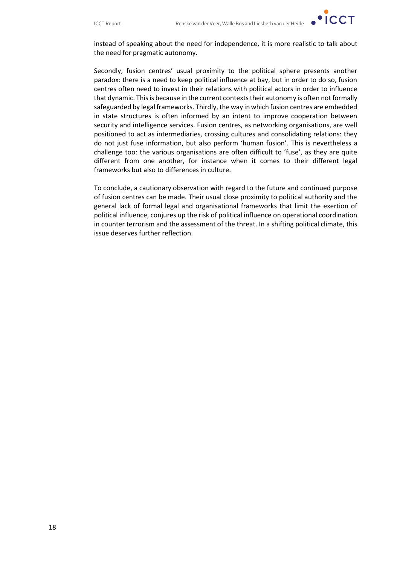

instead of speaking about the need for independence, it is more realistic to talk about the need for pragmatic autonomy.

Secondly, fusion centres' usual proximity to the political sphere presents another paradox: there is a need to keep political influence at bay, but in order to do so, fusion centres often need to invest in their relations with political actors in order to influence that dynamic. This is because in the current contexts their autonomy is often not formally safeguarded by legal frameworks. Thirdly, the way in which fusion centres are embedded in state structures is often informed by an intent to improve cooperation between security and intelligence services. Fusion centres, as networking organisations, are well positioned to act as intermediaries, crossing cultures and consolidating relations: they do not just fuse information, but also perform 'human fusion'. This is nevertheless a challenge too: the various organisations are often difficult to 'fuse', as they are quite different from one another, for instance when it comes to their different legal frameworks but also to differences in culture.

To conclude, a cautionary observation with regard to the future and continued purpose of fusion centres can be made. Their usual close proximity to political authority and the general lack of formal legal and organisational frameworks that limit the exertion of political influence, conjures up the risk of political influence on operational coordination in counter terrorism and the assessment of the threat. In a shifting political climate, this issue deserves further reflection.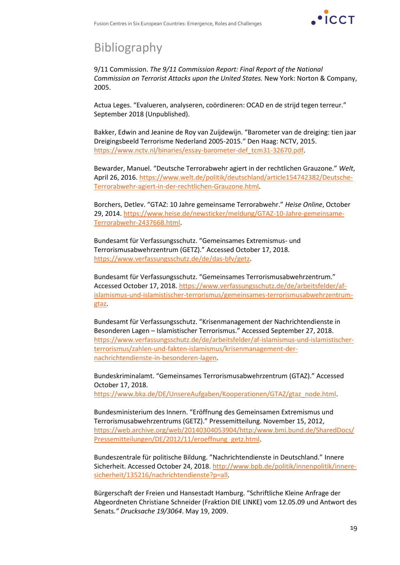

# Bibliography

9/11 Commission. *The 9/11 Commission Report: Final Report of the National Commission on Terrorist Attacks upon the United States.* New York: Norton & Company, 2005.

Actua Leges. "Evalueren, analyseren, coördineren: OCAD en de strijd tegen terreur." September 2018 (Unpublished).

Bakker, Edwin and Jeanine de Roy van Zuijdewijn. "Barometer van de dreiging: tien jaar Dreigingsbeeld Terrorisme Nederland 2005-2015." Den Haag: NCTV, 2015. [https://www.nctv.nl/binaries/essay-barometer-def\\_tcm31-32670.pdf.](https://www.nctv.nl/binaries/essay-barometer-def_tcm31-32670.pdf)

Bewarder, Manuel. "Deutsche Terrorabwehr agiert in der rechtlichen Grauzone." *Welt*, April 26, 2016. [https://www.welt.de/politik/deutschland/article154742382/Deutsche-](https://www.welt.de/politik/deutschland/article154742382/Deutsche-Terrorabwehr-agiert-in-der-rechtlichen-Grauzone.html)[Terrorabwehr-agiert-in-der-rechtlichen-Grauzone.html.](https://www.welt.de/politik/deutschland/article154742382/Deutsche-Terrorabwehr-agiert-in-der-rechtlichen-Grauzone.html)

Borchers, Detlev. "GTAZ: 10 Jahre gemeinsame Terrorabwehr." *Heise Online*, October 29, 2014. [https://www.heise.de/newsticker/meldung/GTAZ-10-Jahre-gemeinsame-](https://www.heise.de/newsticker/meldung/GTAZ-10-Jahre-gemeinsame-Terrorabwehr-2437668.html)[Terrorabwehr-2437668.html.](https://www.heise.de/newsticker/meldung/GTAZ-10-Jahre-gemeinsame-Terrorabwehr-2437668.html)

Bundesamt für Verfassungsschutz. "Gemeinsames Extremismus- und Terrorismusabwehrzentrum (GETZ)." Accessed October 17, 2018. [https://www.verfassungsschutz.de/de/das-bfv/getz.](https://www.verfassungsschutz.de/de/das-bfv/getz)

Bundesamt für Verfassungsschutz. "Gemeinsames Terrorismusabwehrzentrum." Accessed October 17, 2018. [https://www.verfassungsschutz.de/de/arbeitsfelder/af](https://www.verfassungsschutz.de/de/arbeitsfelder/af-islamismus-und-islamistischer-terrorismus/gemeinsames-terrorismusabwehrzentrum-gtaz)[islamismus-und-islamistischer-terrorismus/gemeinsames-terrorismusabwehrzentrum](https://www.verfassungsschutz.de/de/arbeitsfelder/af-islamismus-und-islamistischer-terrorismus/gemeinsames-terrorismusabwehrzentrum-gtaz)[gtaz.](https://www.verfassungsschutz.de/de/arbeitsfelder/af-islamismus-und-islamistischer-terrorismus/gemeinsames-terrorismusabwehrzentrum-gtaz)

Bundesamt für Verfassungsschutz. "Krisenmanagement der Nachrichtendienste in Besonderen Lagen – Islamistischer Terrorismus." Accessed September 27, 2018. [https://www.verfassungsschutz.de/de/arbeitsfelder/af-islamismus-und-islamistischer](https://www.verfassungsschutz.de/de/arbeitsfelder/af-islamismus-und-islamistischer-terrorismus/zahlen-und-fakten-islamismus/krisenmanagement-der-nachrichtendienste-in-besonderen-lagen)[terrorismus/zahlen-und-fakten-islamismus/krisenmanagement-der](https://www.verfassungsschutz.de/de/arbeitsfelder/af-islamismus-und-islamistischer-terrorismus/zahlen-und-fakten-islamismus/krisenmanagement-der-nachrichtendienste-in-besonderen-lagen)[nachrichtendienste-in-besonderen-lagen.](https://www.verfassungsschutz.de/de/arbeitsfelder/af-islamismus-und-islamistischer-terrorismus/zahlen-und-fakten-islamismus/krisenmanagement-der-nachrichtendienste-in-besonderen-lagen)

Bundeskriminalamt. "Gemeinsames Terrorismusabwehrzentrum (GTAZ)." Accessed October 17, 2018.

[https://www.bka.de/DE/UnsereAufgaben/Kooperationen/GTAZ/gtaz\\_node.html.](https://www.bka.de/DE/UnsereAufgaben/Kooperationen/GTAZ/gtaz_node.html)

Bundesministerium des Innern. "Eröffnung des Gemeinsamen Extremismus und Terrorismusabwehrzentrums (GETZ)." Pressemitteilung. November 15, 2012, [https://web.archive.org/web/20140304053904/http:/www.bmi.bund.de/SharedDocs/](https://web.archive.org/web/20140304053904/http:/www.bmi.bund.de/SharedDocs/Pressemitteilungen/DE/2012/11/eroeffnung_getz.html) [Pressemitteilungen/DE/2012/11/eroeffnung\\_getz.html.](https://web.archive.org/web/20140304053904/http:/www.bmi.bund.de/SharedDocs/Pressemitteilungen/DE/2012/11/eroeffnung_getz.html)

Bundeszentrale für politische Bildung. "Nachrichtendienste in Deutschland." Innere Sicherheit. Accessed October 24, 2018[. http://www.bpb.de/politik/innenpolitik/innere](http://www.bpb.de/politik/innenpolitik/innere-sicherheit/135216/nachrichtendienste?p=all)[sicherheit/135216/nachrichtendienste?p=all.](http://www.bpb.de/politik/innenpolitik/innere-sicherheit/135216/nachrichtendienste?p=all)

Bürgerschaft der Freien und Hansestadt Hamburg. "Schriftliche Kleine Anfrage der Abgeordneten Christiane Schneider (Fraktion DIE LINKE) vom 12.05.09 und Antwort des Senats*." Drucksache 19/3064*. May 19, 2009.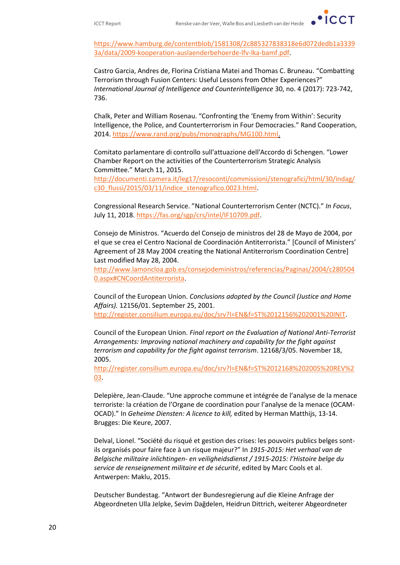[https://www.hamburg.de/contentblob/1581308/2c885327838318e6d072dedb1a3339](https://www.hamburg.de/contentblob/1581308/2c885327838318e6d072dedb1a33393a/data/2009-kooperation-auslaenderbehoerde-lfv-lka-bamf.pdf) [3a/data/2009-kooperation-auslaenderbehoerde-lfv-lka-bamf.pdf.](https://www.hamburg.de/contentblob/1581308/2c885327838318e6d072dedb1a33393a/data/2009-kooperation-auslaenderbehoerde-lfv-lka-bamf.pdf)

Castro Garcia, Andres de, Florina Cristiana Matei and Thomas C. Bruneau. "Combatting Terrorism through Fusion Centers: Useful Lessons from Other Experiences?" *International Journal of Intelligence and Counterintelligence* 30, no. 4 (2017): 723-742, 736.

Chalk, Peter and William Rosenau. "Confronting the 'Enemy from Within': Security Intelligence, the Police, and Counterterrorism in Four Democracies." Rand Cooperation, 2014[. https://www.rand.org/pubs/monographs/MG100.html.](https://www.rand.org/pubs/monographs/MG100.html)

Comitato parlamentare di controllo sull'attuazione dell'Accordo di Schengen. "Lower Chamber Report on the activities of the Counterterrorism Strategic Analysis Committee." March 11, 2015.

[http://documenti.camera.it/leg17/resoconti/commissioni/stenografici/html/30/indag/](http://documenti.camera.it/leg17/resoconti/commissioni/stenografici/html/30/indag/c30_flussi/2015/03/11/indice_stenografico.0023.html) c30 flussi/2015/03/11/indice stenografico.0023.html.

Congressional Research Service. "National Counterterrorism Center (NCTC)." *In Focus*, July 11, 2018. [https://fas.org/sgp/crs/intel/IF10709.pdf.](https://fas.org/sgp/crs/intel/IF10709.pdf)

Consejo de Ministros. "Acuerdo del Consejo de ministros del 28 de Mayo de 2004, por el que se crea el Centro Nacional de Coordinación Antiterrorista." [Council of Ministers' Agreement of 28 May 2004 creating the National Antiterrorism Coordination Centre] Last modified May 28, 2004.

[http://www.lamoncloa.gob.es/consejodeministros/referencias/Paginas/2004/c280504](http://www.lamoncloa.gob.es/consejodeministros/referencias/Paginas/2004/c2805040.aspx#CNCoordAntiterrorista) [0.aspx#CNCoordAntiterrorista.](http://www.lamoncloa.gob.es/consejodeministros/referencias/Paginas/2004/c2805040.aspx#CNCoordAntiterrorista)

Council of the European Union. *Conclusions adopted by the Council (Justice and Home Affairs).* 12156/01. September 25, 2001. [http://register.consilium.europa.eu/doc/srv?l=EN&f=ST%2012156%202001%20INIT.](http://register.consilium.europa.eu/doc/srv?l=EN&f=ST%2012156%202001%20INIT)

Council of the European Union. *Final report on the Evaluation of National Anti-Terrorist Arrangements: Improving national machinery and capability for the fight against terrorism and capability for the fight against terrorism*. 12168/3/05. November 18, 2005.

[http://register.consilium.europa.eu/doc/srv?l=EN&f=ST%2012168%202005%20REV%2](http://register.consilium.europa.eu/doc/srv?l=EN&f=ST%2012168%202005%20REV%203) [03.](http://register.consilium.europa.eu/doc/srv?l=EN&f=ST%2012168%202005%20REV%203)

Delepière, Jean-Claude. "Une approche commune et intégrée de l'analyse de la menace terroriste: la création de l'Organe de coordination pour l'analyse de la menace (OCAM-OCAD)." In *Geheime Diensten: A licence to kill,* edited by Herman Matthijs, 13-14. Brugges: Die Keure, 2007.

Delval, Lionel. "Société du risqué et gestion des crises: les pouvoirs publics belges sontils organisés pour faire face à un risque majeur?" In *1915-2015: Het verhaal van de Belgische militaire inlichtingen- en veiligheidsdienst / 1915-2015: l'Histoire belge du service de renseignement militaire et de sécurité*, edited by Marc Cools et al. Antwerpen: Maklu, 2015.

Deutscher Bundestag. "Antwort der Bundesregierung auf die Kleine Anfrage der Abgeordneten Ulla Jelpke, Sevim Dağdelen, Heidrun Dittrich, weiterer Abgeordneter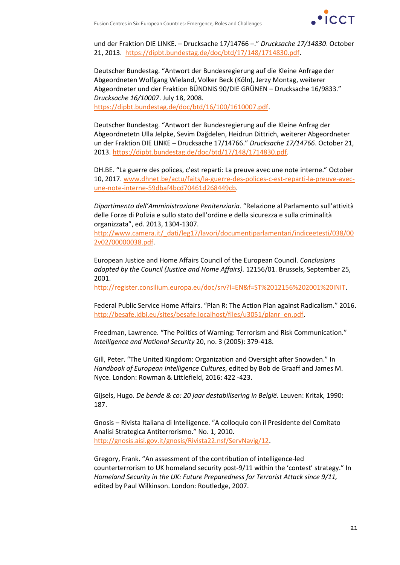

und der Fraktion DIE LINKE. – Drucksache 17/14766 –." *Drucksache 17/14830*. October 21, 2013. [https://dipbt.bundestag.de/doc/btd/17/148/1714830.pdf.](https://dipbt.bundestag.de/doc/btd/17/148/1714830.pdf)

Deutscher Bundestag. "Antwort der Bundesregierung auf die Kleine Anfrage der Abgeordneten Wolfgang Wieland, Volker Beck (Köln), Jerzy Montag, weiterer Abgeordneter und der Fraktion BÜNDNIS 90/DIE GRÜNEN – Drucksache 16/9833." *Drucksache 16/10007*. July 18, 2008. [https://dipbt.bundestag.de/doc/btd/16/100/1610007.pdf.](https://dipbt.bundestag.de/doc/btd/16/100/1610007.pdf)

Deutscher Bundestag. "Antwort der Bundesregierung auf die Kleine Anfrag der Abgeordnetetn Ulla Jelpke, Sevim Dağdelen, Heidrun Dittrich, weiterer Abgeordneter un der Fraktion DIE LINKE – Drucksache 17/14766." *Drucksache 17/14766*. October 21, 2013[. https://dipbt.bundestag.de/doc/btd/17/148/1714830.pdf.](https://dipbt.bundestag.de/doc/btd/17/148/1714830.pdf)

DH.BE. "La guerre des polices, c'est reparti: La preuve avec une note interne." October 10, 2017. [www.dhnet.be/actu/faits/la-guerre-des-polices-c-est-reparti-la-preuve-avec](http://www.dhnet.be/actu/faits/la-guerre-des-polices-c-est-reparti-la-preuve-avec-une-note-interne-59dbaf4bcd70461d268449cb)[une-note-interne-59dbaf4bcd70461d268449cb.](http://www.dhnet.be/actu/faits/la-guerre-des-polices-c-est-reparti-la-preuve-avec-une-note-interne-59dbaf4bcd70461d268449cb)

*Dipartimento dell'Amministrazione Penitenziaria*. "Relazione al Parlamento sull'attività delle Forze di Polizia e sullo stato dell'ordine e della sicurezza e sulla criminalità organizzata", ed. 2013, 1304-1307.

[http://www.camera.it/\\_dati/leg17/lavori/documentiparlamentari/indiceetesti/038/00](http://www.camera.it/_dati/leg17/lavori/documentiparlamentari/indiceetesti/038/002v02/00000038.pdf) [2v02/00000038.pdf.](http://www.camera.it/_dati/leg17/lavori/documentiparlamentari/indiceetesti/038/002v02/00000038.pdf)

European Justice and Home Affairs Council of the European Council. *Conclusions adopted by the Council (Justice and Home Affairs).* 12156/01. Brussels, September 25, 2001.

[http://register.consilium.europa.eu/doc/srv?l=EN&f=ST%2012156%202001%20INIT.](http://register.consilium.europa.eu/doc/srv?l=EN&f=ST%2012156%202001%20INIT)

Federal Public Service Home Affairs. "Plan R: The Action Plan against Radicalism." 2016. [http://besafe.jdbi.eu/sites/besafe.localhost/files/u3051/planr\\_en.pdf.](http://besafe.jdbi.eu/sites/besafe.localhost/files/u3051/planr_en.pdf)

Freedman, Lawrence. "The Politics of Warning: Terrorism and Risk Communication." *Intelligence and National Security* 20, no. 3 (2005): 379-418.

Gill, Peter. "The United Kingdom: Organization and Oversight after Snowden." In *Handbook of European Intelligence Cultures*, edited by Bob de Graaff and James M. Nyce. London: Rowman & Littlefield, 2016: 422 -423.

Gijsels, Hugo. *De bende & co: 20 jaar destabilisering in België.* Leuven: Kritak, 1990: 187.

Gnosis – Rivista Italiana di Intelligence. "A colloquio con il Presidente del Comitato Analisi Strategica Antiterrorismo." No. 1, 2010. [http://gnosis.aisi.gov.it/gnosis/Rivista22.nsf/ServNavig/12.](http://gnosis.aisi.gov.it/gnosis/Rivista22.nsf/ServNavig/12)

Gregory, Frank. "An assessment of the contribution of intelligence-led counterterrorism to UK homeland security post-9/11 within the 'contest' strategy." In *Homeland Security in the UK: Future Preparedness for Terrorist Attack since 9/11,*  edited by Paul Wilkinson. London: Routledge, 2007.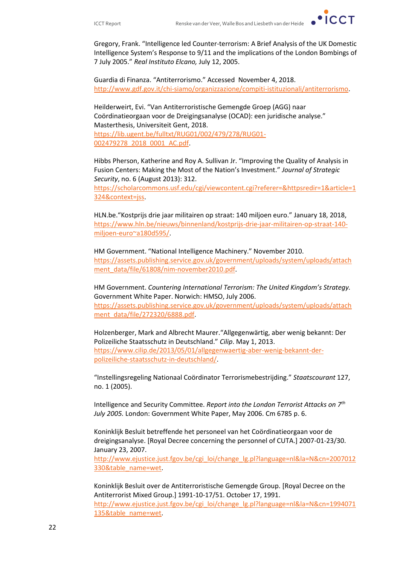

Gregory, Frank. "Intelligence led Counter-terrorism: A Brief Analysis of the UK Domestic Intelligence System's Response to 9/11 and the implications of the London Bombings of 7 July 2005." *Real Instituto Elcano,* July 12, 2005.

Guardia di Finanza. "Antiterrorismo." Accessed November 4, 2018. [http://www.gdf.gov.it/chi-siamo/organizzazione/compiti-istituzionali/antiterrorismo.](http://www.gdf.gov.it/chi-siamo/organizzazione/compiti-istituzionali/antiterrorismo)

Heilderweirt, Evi. "Van Antiterroristische Gemengde Groep (AGG) naar Coördinatieorgaan voor de Dreigingsanalyse (OCAD): een juridische analyse." Masterthesis, Universiteit Gent, 2018.

[https://lib.ugent.be/fulltxt/RUG01/002/479/278/RUG01-](https://lib.ugent.be/fulltxt/RUG01/002/479/278/RUG01-002479278_2018_0001_AC.pdf) [002479278\\_2018\\_0001\\_AC.pdf.](https://lib.ugent.be/fulltxt/RUG01/002/479/278/RUG01-002479278_2018_0001_AC.pdf)

Hibbs Pherson, Katherine and Roy A. Sullivan Jr. "Improving the Quality of Analysis in Fusion Centers: Making the Most of the Nation's Investment." *Journal of Strategic Security*, no. 6 (August 2013): 312.

[https://scholarcommons.usf.edu/cgi/viewcontent.cgi?referer=&httpsredir=1&article=1](https://scholarcommons.usf.edu/cgi/viewcontent.cgi?referer=&httpsredir=1&article=1324&context=jss) [324&context=jss.](https://scholarcommons.usf.edu/cgi/viewcontent.cgi?referer=&httpsredir=1&article=1324&context=jss)

HLN.be."Kostprijs drie jaar militairen op straat: 140 miljoen euro." January 18, 2018, [https://www.hln.be/nieuws/binnenland/kostprijs-drie-jaar-militairen-op-straat-140](https://www.hln.be/nieuws/binnenland/kostprijs-drie-jaar-militairen-op-straat-140-miljoen-euro~a180d595/) [miljoen-euro~a180d595/.](https://www.hln.be/nieuws/binnenland/kostprijs-drie-jaar-militairen-op-straat-140-miljoen-euro~a180d595/)

HM Government. "National Intelligence Machinery." November 2010. [https://assets.publishing.service.gov.uk/government/uploads/system/uploads/attach](https://assets.publishing.service.gov.uk/government/uploads/system/uploads/attachment_data/file/61808/nim-november2010.pdf) [ment\\_data/file/61808/nim-november2010.pdf.](https://assets.publishing.service.gov.uk/government/uploads/system/uploads/attachment_data/file/61808/nim-november2010.pdf)

HM Government. *Countering International Terrorism: The United Kingdom's Strategy.*  Government White Paper. Norwich: HMSO, July 2006. [https://assets.publishing.service.gov.uk/government/uploads/system/uploads/attach](https://assets.publishing.service.gov.uk/government/uploads/system/uploads/attachment_data/file/272320/6888.pdf) [ment\\_data/file/272320/6888.pdf.](https://assets.publishing.service.gov.uk/government/uploads/system/uploads/attachment_data/file/272320/6888.pdf)

Holzenberger, Mark and Albrecht Maurer."Allgegenwärtig, aber wenig bekannt: Der Polizeiliche Staatsschutz in Deutschland." *Cilip*. May 1, 2013. [https://www.cilip.de/2013/05/01/allgegenwaertig-aber-wenig-bekannt-der](https://www.cilip.de/2013/05/01/allgegenwaertig-aber-wenig-bekannt-der-polizeiliche-staatsschutz-in-deutschland/)[polizeiliche-staatsschutz-in-deutschland/.](https://www.cilip.de/2013/05/01/allgegenwaertig-aber-wenig-bekannt-der-polizeiliche-staatsschutz-in-deutschland/)

"Instellingsregeling Nationaal Coördinator Terrorismebestrijding." *Staatscourant* 127, no. 1 (2005).

Intelligence and Security Committee. *Report into the London Terrorist Attacks on 7th July 2005.* London: Government White Paper, May 2006. Cm 6785 p. 6.

Koninklijk Besluit betreffende het personeel van het Coördinatieorgaan voor de dreigingsanalyse. [Royal Decree concerning the personnel of CUTA.] 2007-01-23/30. January 23, 2007.

[http://www.ejustice.just.fgov.be/cgi\\_loi/change\\_lg.pl?language=nl&la=N&cn=2007012](http://www.ejustice.just.fgov.be/cgi_loi/change_lg.pl?language=nl&la=N&cn=2007012330&table_name=wet) [330&table\\_name=wet.](http://www.ejustice.just.fgov.be/cgi_loi/change_lg.pl?language=nl&la=N&cn=2007012330&table_name=wet)

Koninklijk Besluit over de Antiterroristische Gemengde Group. [Royal Decree on the Antiterrorist Mixed Group.] 1991-10-17/51. October 17, 1991. [http://www.ejustice.just.fgov.be/cgi\\_loi/change\\_lg.pl?language=nl&la=N&cn=1994071](http://www.ejustice.just.fgov.be/cgi_loi/change_lg.pl?language=nl&la=N&cn=1994071135&table_name=wet) [135&table\\_name=wet.](http://www.ejustice.just.fgov.be/cgi_loi/change_lg.pl?language=nl&la=N&cn=1994071135&table_name=wet)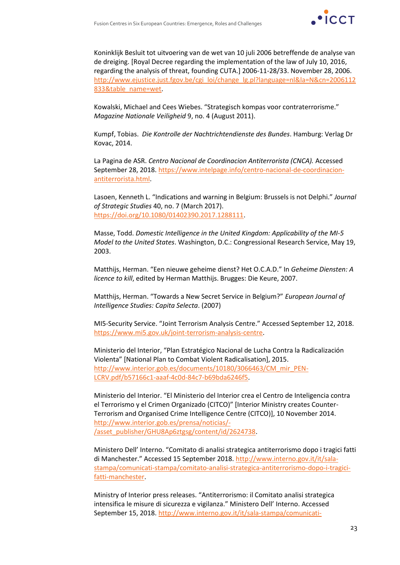

Koninklijk Besluit tot uitvoering van de wet van 10 juli 2006 betreffende de analyse van de dreiging. [Royal Decree regarding the implementation of the law of July 10, 2016, regarding the analysis of threat, founding CUTA.] 2006-11-28/33. November 28, 2006. [http://www.ejustice.just.fgov.be/cgi\\_loi/change\\_lg.pl?language=nl&la=N&cn=2006112](http://www.ejustice.just.fgov.be/cgi_loi/change_lg.pl?language=nl&la=N&cn=2006112833&table_name=wet) [833&table\\_name=wet.](http://www.ejustice.just.fgov.be/cgi_loi/change_lg.pl?language=nl&la=N&cn=2006112833&table_name=wet)

Kowalski, Michael and Cees Wiebes. "Strategisch kompas voor contraterrorisme." *Magazine Nationale Veiligheid* 9, no. 4 (August 2011).

Kumpf, Tobias. *Die Kontrolle der Nachtrichtendienste des Bundes*. Hamburg: Verlag Dr Kovac, 2014.

La Pagina de ASR. *Centro Nacional de Coordinacion Antiterrorista (CNCA).* Accessed September 28, 2018[. https://www.intelpage.info/centro-nacional-de-coordinacion](https://www.intelpage.info/centro-nacional-de-coordinacion-antiterrorista.html)[antiterrorista.html.](https://www.intelpage.info/centro-nacional-de-coordinacion-antiterrorista.html)

Lasoen, Kenneth L. "Indications and warning in Belgium: Brussels is not Delphi." *Journal of Strategic Studies* 40, no. 7 (March 2017). [https://doi.org/10.1080/01402390.2017.1288111.](https://doi.org/10.1080/01402390.2017.1288111)

Masse, Todd. *Domestic Intelligence in the United Kingdom: Applicability of the MI-5 Model to the United States*. Washington, D.C.: Congressional Research Service, May 19, 2003.

Matthijs, Herman. "Een nieuwe geheime dienst? Het O.C.A.D." In *Geheime Diensten: A licence to kill*, edited by Herman Matthijs. Brugges: Die Keure, 2007.

Matthijs, Herman. "Towards a New Secret Service in Belgium?" *European Journal of Intelligence Studies: Capita Selecta*. (2007)

MI5-Security Service. "Joint Terrorism Analysis Centre." Accessed September 12, 2018. [https://www.mi5.gov.uk/joint-terrorism-analysis-centre.](https://www.mi5.gov.uk/joint-terrorism-analysis-centre)

Ministerio del Interior, "Plan Estratégico Nacional de Lucha Contra la Radicalización Violenta" [National Plan to Combat Violent Radicalisation], 2015. [http://www.interior.gob.es/documents/10180/3066463/CM\\_mir\\_PEN-](http://www.interior.gob.es/documents/10180/3066463/CM_mir_PEN-LCRV.pdf/b57166c1-aaaf-4c0d-84c7-b69bda6246f5)[LCRV.pdf/b57166c1-aaaf-4c0d-84c7-b69bda6246f5.](http://www.interior.gob.es/documents/10180/3066463/CM_mir_PEN-LCRV.pdf/b57166c1-aaaf-4c0d-84c7-b69bda6246f5)

Ministerio del Interior. "El Ministerio del Interior crea el Centro de Inteligencia contra el Terrorismo y el Crimen Organizado (CITCO)" [Interior Ministry creates Counter-Terrorism and Organised Crime Intelligence Centre (CITCO)], 10 November 2014. [http://www.interior.gob.es/prensa/noticias/-](http://www.interior.gob.es/prensa/noticias/-/asset_publisher/GHU8Ap6ztgsg/content/id/2624738) [/asset\\_publisher/GHU8Ap6ztgsg/content/id/2624738.](http://www.interior.gob.es/prensa/noticias/-/asset_publisher/GHU8Ap6ztgsg/content/id/2624738)

Ministero Dell' Interno. "Comitato di analisi strategica antiterrorismo dopo i tragici fatti di Manchester." Accessed 15 September 2018. [http://www.interno.gov.it/it/sala](http://www.interno.gov.it/it/sala-stampa/comunicati-stampa/comitato-analisi-strategica-antiterrorismo-dopo-i-tragici-fatti-manchester)[stampa/comunicati-stampa/comitato-analisi-strategica-antiterrorismo-dopo-i-tragici](http://www.interno.gov.it/it/sala-stampa/comunicati-stampa/comitato-analisi-strategica-antiterrorismo-dopo-i-tragici-fatti-manchester)[fatti-manchester.](http://www.interno.gov.it/it/sala-stampa/comunicati-stampa/comitato-analisi-strategica-antiterrorismo-dopo-i-tragici-fatti-manchester)

Ministry of Interior press releases. "Antiterrorismo: il Comitato analisi strategica intensifica le misure di sicurezza e vigilanza." Ministero Dell' Interno. Accessed September 15, 2018[. http://www.interno.gov.it/it/sala-stampa/comunicati-](http://www.interno.gov.it/it/sala-stampa/comunicati-stampa/antiterrorismo-comitato-analisi-strategica-intensifica-misure-sicurezza-e-vigilanza)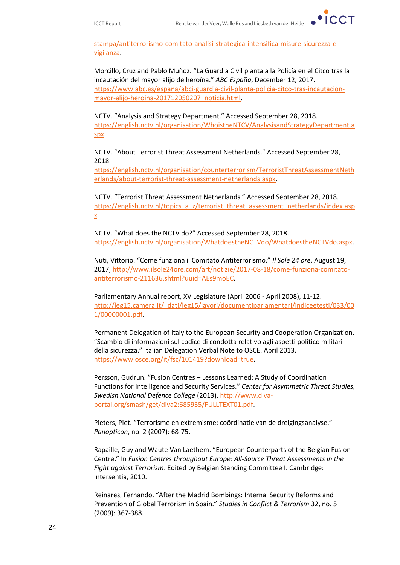[stampa/antiterrorismo-comitato-analisi-strategica-intensifica-misure-sicurezza-e](http://www.interno.gov.it/it/sala-stampa/comunicati-stampa/antiterrorismo-comitato-analisi-strategica-intensifica-misure-sicurezza-e-vigilanza)[vigilanza.](http://www.interno.gov.it/it/sala-stampa/comunicati-stampa/antiterrorismo-comitato-analisi-strategica-intensifica-misure-sicurezza-e-vigilanza)

Morcillo, Cruz and Pablo Muñoz. "La Guardia Civil planta a la Policía en el Citco tras la incautación del mayor alijo de heroína." *ABC Espa*ñ*a*, December 12, 2017. [https://www.abc.es/espana/abci-guardia-civil-planta-policia-citco-tras-incautacion](https://www.abc.es/espana/abci-guardia-civil-planta-policia-citco-tras-incautacion-mayor-alijo-heroina-201712050207_noticia.html)[mayor-alijo-heroina-201712050207\\_noticia.html.](https://www.abc.es/espana/abci-guardia-civil-planta-policia-citco-tras-incautacion-mayor-alijo-heroina-201712050207_noticia.html)

NCTV. "Analysis and Strategy Department." Accessed September 28, 2018. [https://english.nctv.nl/organisation/WhoistheNTCV/AnalysisandStrategyDepartment.a](https://english.nctv.nl/organisation/WhoistheNTCV/AnalysisandStrategyDepartment.aspx) [spx.](https://english.nctv.nl/organisation/WhoistheNTCV/AnalysisandStrategyDepartment.aspx)

NCTV. "About Terrorist Threat Assessment Netherlands." Accessed September 28, 2018.

[https://english.nctv.nl/organisation/counterterrorism/TerroristThreatAssessmentNeth](https://english.nctv.nl/organisation/counterterrorism/TerroristThreatAssessmentNetherlands/about-terrorist-threat-assessment-netherlands.aspx) [erlands/about-terrorist-threat-assessment-netherlands.aspx.](https://english.nctv.nl/organisation/counterterrorism/TerroristThreatAssessmentNetherlands/about-terrorist-threat-assessment-netherlands.aspx)

NCTV. "Terrorist Threat Assessment Netherlands." Accessed September 28, 2018. [https://english.nctv.nl/topics\\_a\\_z/terrorist\\_threat\\_assessment\\_netherlands/index.asp](https://english.nctv.nl/topics_a_z/terrorist_threat_assessment_netherlands/index.aspx) [x.](https://english.nctv.nl/topics_a_z/terrorist_threat_assessment_netherlands/index.aspx)

NCTV. "What does the NCTV do?" Accessed September 28, 2018. [https://english.nctv.nl/organisation/WhatdoestheNCTVdo/WhatdoestheNCTVdo.aspx.](https://english.nctv.nl/organisation/WhatdoestheNCTVdo/WhatdoestheNCTVdo.aspx)

Nuti, Vittorio. "Come funziona il Comitato Antiterrorismo." *Il Sole 24 ore*, August 19, 2017[, http://www.ilsole24ore.com/art/notizie/2017-08-18/come-funziona-comitato](http://www.ilsole24ore.com/art/notizie/2017-08-18/come-funziona-comitato-antiterrorismo-211636.shtml?uuid=AEs9moEC)[antiterrorismo-211636.shtml?uuid=AEs9moEC.](http://www.ilsole24ore.com/art/notizie/2017-08-18/come-funziona-comitato-antiterrorismo-211636.shtml?uuid=AEs9moEC)

Parliamentary Annual report, XV Legislature (April 2006 - April 2008), 11-12. [http://leg15.camera.it/\\_dati/leg15/lavori/documentiparlamentari/indiceetesti/033/00](http://leg15.camera.it/_dati/leg15/lavori/documentiparlamentari/indiceetesti/033/001/00000001.pdf) [1/00000001.pdf.](http://leg15.camera.it/_dati/leg15/lavori/documentiparlamentari/indiceetesti/033/001/00000001.pdf)

Permanent Delegation of Italy to the European Security and Cooperation Organization. "Scambio di informazioni sul codice di condotta relativo agli aspetti politico militari della sicurezza." Italian Delegation Verbal Note to OSCE. April 2013, [https://www.osce.org/it/fsc/101419?download=true.](https://www.osce.org/it/fsc/101419?download=true)

Persson, Gudrun. "Fusion Centres – Lessons Learned: A Study of Coordination Functions for Intelligence and Security Services." *Center for Asymmetric Threat Studies, Swedish National Defence College* (2013)[. http://www.diva](http://www.diva-portal.org/smash/get/diva2:685935/FULLTEXT01.pdf)[portal.org/smash/get/diva2:685935/FULLTEXT01.pdf.](http://www.diva-portal.org/smash/get/diva2:685935/FULLTEXT01.pdf)

Pieters, Piet. "Terrorisme en extremisme: coördinatie van de dreigingsanalyse." *Panopticon*, no. 2 (2007): 68-75.

Rapaille, Guy and Waute Van Laethem. "European Counterparts of the Belgian Fusion Centre." In *Fusion Centres throughout Europe: All-Source Threat Assessments in the Fight against Terrorism*. Edited by Belgian Standing Committee I. Cambridge: Intersentia, 2010.

Reinares, Fernando. "After the Madrid Bombings: Internal Security Reforms and Prevention of Global Terrorism in Spain." *Studies in Conflict & Terrorism* 32, no. 5 (2009): 367-388.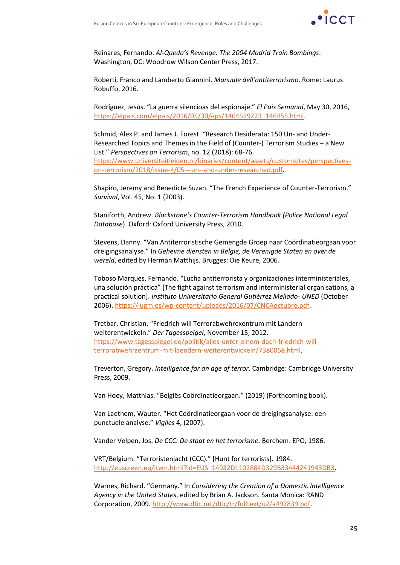

Reinares, Fernando. *Al-Qaeda's Revenge: The 2004 Madrid Train Bombings*. Washington, DC: Woodrow Wilson Center Press, 2017.

Roberti, Franco and Lamberto Giannini. *Manuale dell'antiterrorismo*. Rome: Laurus Robuffo, 2016.

Rodríguez, Jesús. "La guerra silencioas del espionaje." *El Pais Semanal*, May 30, 2016, [https://elpais.com/elpais/2016/05/30/eps/1464559223\\_146455.html.](https://elpais.com/elpais/2016/05/30/eps/1464559223_146455.html)

Schmid, Alex P. and James J. Forest. "Research Desiderata: 150 Un- and Under-Researched Topics and Themes in the Field of (Counter-) Terrorism Studies – a New List." *Perspectives on Terrorism*, no. 12 (2018): 68-76. [https://www.universiteitleiden.nl/binaries/content/assets/customsites/perspectives](https://www.universiteitleiden.nl/binaries/content/assets/customsites/perspectives-on-terrorism/2018/issue-4/05---un--and-under-researched.pdf)[on-terrorism/2018/issue-4/05---un--and-under-researched.pdf.](https://www.universiteitleiden.nl/binaries/content/assets/customsites/perspectives-on-terrorism/2018/issue-4/05---un--and-under-researched.pdf)

Shapiro, Jeremy and Benedicte Suzan. "The French Experience of Counter-Terrorism." *Survival*, Vol. 45, No. 1 (2003).

Staniforth, Andrew. *Blackstone's Counter-Terrorism Handbook (Police National Legal Database*). Oxford: Oxford University Press, 2010.

Stevens, Danny. "Van Antiterroristische Gemengde Groep naar Coördinatieorgaan voor dreigingsanalyse." In *Geheime diensten in België, de Verenigde Staten en over de wereld*, edited by Herman Matthijs. Brugges: Die Keure, 2006.

Toboso Marques, Fernando. "Lucha antiterrorista y organizaciones interministeriales, una solución práctica" [The fight against terrorism and interministerial organisations, a practical solution]. *Instituto Universitario General Gutiérrez Mellado- UNED* (October 2006)[. https://iugm.es/wp-content/uploads/2016/07/CNCAoctubre.pdf.](https://iugm.es/wp-content/uploads/2016/07/CNCAoctubre.pdf)

Tretbar, Christian. "Friedrich will Terrorabwehrexentrum mit Landern weiterentwickeln." *Der Tagesspeigel*, November 15, 2012. [https://www.tagesspiegel.de/politik/alles-unter-einem-dach-friedrich-will](https://www.tagesspiegel.de/politik/alles-unter-einem-dach-friedrich-will-terrorabwehrzentrum-mit-laendern-weiterentwickeln/7380058.html)[terrorabwehrzentrum-mit-laendern-weiterentwickeln/7380058.html.](https://www.tagesspiegel.de/politik/alles-unter-einem-dach-friedrich-will-terrorabwehrzentrum-mit-laendern-weiterentwickeln/7380058.html)

Treverton, Gregory. *Intelligence for an age of terror*. Cambridge: Cambridge University Press, 2009.

Van Hoey, Matthias. "Belgiës Coördinatieorgaan." (2019) (Forthcoming book).

Van Laethem, Wauter. "Het Coördinatieorgaan voor de dreigingsanalyse: een punctuele analyse." *Vigiles* 4, (2007).

Vander Velpen, Jos. *De CCC: De staat en het terrorisme*. Berchem: EPO, 1986.

VRT/Belgium. "Terroristenjacht (CCC)." [Hunt for terrorists]. 1984. [http://euscreen.eu/item.html?id=EUS\\_14932D1102884D329B33444241943DB3.](http://euscreen.eu/item.html?id=EUS_14932D1102884D329B33444241943DB3)

Warnes, Richard. "Germany." In *Considering the Creation of a Domestic Intelligence Agency in the United States*, edited by Brian A. Jackson. Santa Monica: RAND Corporation, 2009[. http://www.dtic.mil/dtic/tr/fulltext/u2/a497839.pdf.](http://www.dtic.mil/dtic/tr/fulltext/u2/a497839.pdf)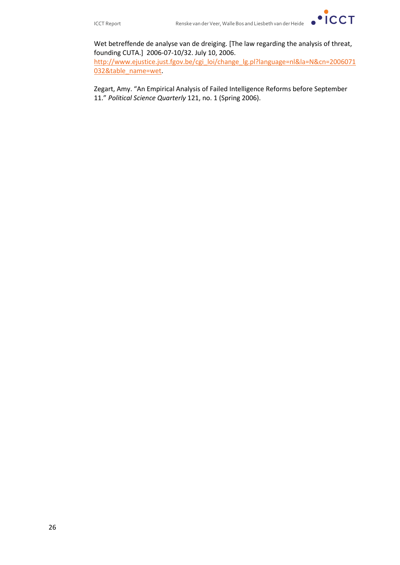

Wet betreffende de analyse van de dreiging. [The law regarding the analysis of threat, founding CUTA.] 2006-07-10/32. July 10, 2006.

[http://www.ejustice.just.fgov.be/cgi\\_loi/change\\_lg.pl?language=nl&la=N&cn=2006071](http://www.ejustice.just.fgov.be/cgi_loi/change_lg.pl?language=nl&la=N&cn=2006071032&table_name=wet) [032&table\\_name=wet.](http://www.ejustice.just.fgov.be/cgi_loi/change_lg.pl?language=nl&la=N&cn=2006071032&table_name=wet)

Zegart, Amy. "An Empirical Analysis of Failed Intelligence Reforms before September 11." *Political Science Quarterly* 121, no. 1 (Spring 2006).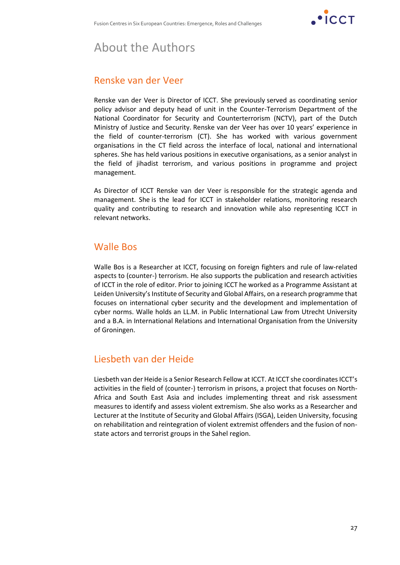

# About the Authors

### Renske van der Veer

Renske van der Veer is Director of ICCT. She previously served as coordinating senior policy advisor and deputy head of unit in the Counter-Terrorism Department of the National Coordinator for Security and Counterterrorism (NCTV), part of the Dutch Ministry of Justice and Security. Renske van der Veer has over 10 years' experience in the field of counter-terrorism (CT). She has worked with various government organisations in the CT field across the interface of local, national and international spheres. She has held various positions in executive organisations, as a senior analyst in the field of jihadist terrorism, and various positions in programme and project management.

As Director of ICCT Renske van der Veer is responsible for the strategic agenda and management. She is the lead for ICCT in stakeholder relations, monitoring research quality and contributing to research and innovation while also representing ICCT in relevant networks.

#### Walle Bos

Walle Bos is a Researcher at ICCT, focusing on foreign fighters and rule of law-related aspects to (counter-) terrorism. He also supports the publication and research activities of ICCT in the role of editor. Prior to joining ICCT he worked as a Programme Assistant at Leiden University's Institute of Security and Global Affairs, on a research programme that focuses on international cyber security and the development and implementation of cyber norms. Walle holds an LL.M. in Public International Law from Utrecht University and a B.A. in International Relations and International Organisation from the University of Groningen.

### Liesbeth van der Heide

Liesbeth van der Heide is a Senior Research Fellow at ICCT. At ICCT she coordinates ICCT's activities in the field of (counter-) terrorism in prisons, a project that focuses on North-Africa and South East Asia and includes implementing threat and risk assessment measures to identify and assess violent extremism. She also works as a Researcher and Lecturer at the Institute of Security and Global Affairs (ISGA), Leiden University, focusing on rehabilitation and reintegration of violent extremist offenders and the fusion of nonstate actors and terrorist groups in the Sahel region.